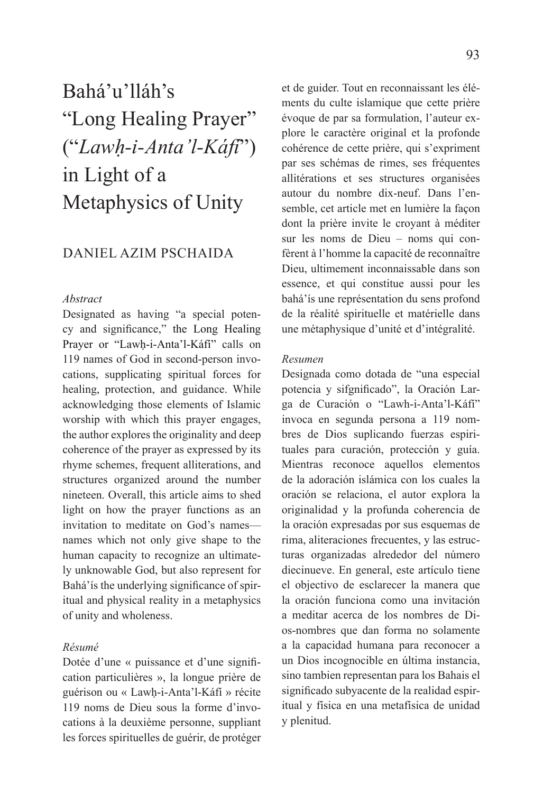# Bahá'u'lláh's "Long Healing Prayer" ("*Lawḥ-i-Anta'l-Káfí*") in Light of a Metaphysics of Unity

## DANIEL AZIM PSCHAIDA

### *Abstract*

Designated as having "a special potency and significance," the Long Healing Prayer or "Lawḥ-i-Anta'l-Káfí" calls on 119 names of God in second-person invocations, supplicating spiritual forces for healing, protection, and guidance. While acknowledging those elements of Islamic worship with which this prayer engages, the author explores the originality and deep coherence of the prayer as expressed by its rhyme schemes, frequent alliterations, and structures organized around the number nineteen. Overall, this article aims to shed light on how the prayer functions as an invitation to meditate on God's names names which not only give shape to the human capacity to recognize an ultimately unknowable God, but also represent for Bahá'ís the underlying significance of spiritual and physical reality in a metaphysics of unity and wholeness.

### *Résumé*

Dotée d'une « puissance et d'une signification particulières », la longue prière de guérison ou « Lawḥ-i-Anta'l-Káfí » récite 119 noms de Dieu sous la forme d'invocations à la deuxième personne, suppliant les forces spirituelles de guérir, de protéger

et de guider. Tout en reconnaissant les éléments du culte islamique que cette prière évoque de par sa formulation, l'auteur explore le caractère original et la profonde cohérence de cette prière, qui s'expriment par ses schémas de rimes, ses fréquentes allitérations et ses structures organisées autour du nombre dix-neuf. Dans l'ensemble, cet article met en lumière la façon dont la prière invite le croyant à méditer sur les noms de Dieu – noms qui confèrent à l'homme la capacité de reconnaître Dieu, ultimement inconnaissable dans son essence, et qui constitue aussi pour les bahá'ís une représentation du sens profond de la réalité spirituelle et matérielle dans une métaphysique d'unité et d'intégralité.

#### *Resumen*

Designada como dotada de "una especial potencia y sifgnificado", la Oración Larga de Curación o "Lawh-i-Anta'l-Káfí" invoca en segunda persona a 119 nombres de Dios suplicando fuerzas espirituales para curación, protección y guía. Mientras reconoce aquellos elementos de la adoración islámica con los cuales la oración se relaciona, el autor explora la originalidad y la profunda coherencia de la oración expresadas por sus esquemas de rima, aliteraciones frecuentes, y las estructuras organizadas alrededor del número diecinueve. En general, este artículo tiene el objectivo de esclarecer la manera que la oración funciona como una invitación a meditar acerca de los nombres de Dios-nombres que dan forma no solamente a la capacidad humana para reconocer a un Dios incognocible en última instancia, sino tambien representan para los Bahais el significado subyacente de la realidad espiritual y física en una metafísica de unidad y plenitud.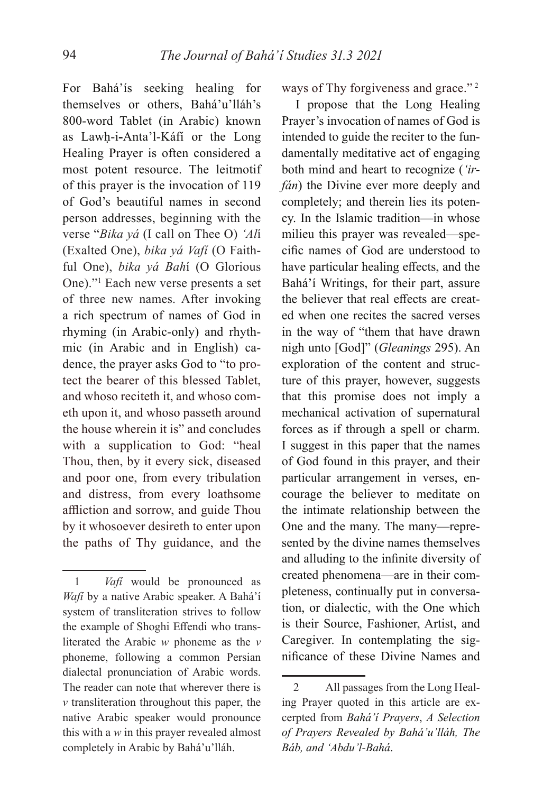For Bahá'ís seeking healing for themselves or others, Bahá'u'lláh's 800-word Tablet (in Arabic) known as Lawḥ-i**-**Anta'l-Káfí or the Long Healing Prayer is often considered a most potent resource. The leitmotif of this prayer is the invocation of 119 of God's beautiful names in second person addresses, beginning with the verse "*Bika yá* (I call on Thee O) *'Al*í (Exalted One), *bika yá Vafí* (O Faithful One), *bika yá Bah*í (O Glorious One)."1 Each new verse presents a set of three new names. After invoking a rich spectrum of names of God in rhyming (in Arabic-only) and rhythmic (in Arabic and in English) cadence, the prayer asks God to "to protect the bearer of this blessed Tablet, and whoso reciteth it, and whoso cometh upon it, and whoso passeth around the house wherein it is" and concludes with a supplication to God: "heal Thou, then, by it every sick, diseased and poor one, from every tribulation and distress, from every loathsome affliction and sorrow, and guide Thou by it whosoever desireth to enter upon the paths of Thy guidance, and the

ways of Thy forgiveness and grace."<sup>2</sup>

I propose that the Long Healing Prayer's invocation of names of God is intended to guide the reciter to the fundamentally meditative act of engaging both mind and heart to recognize (*'irfán*) the Divine ever more deeply and completely; and therein lies its potency. In the Islamic tradition—in whose milieu this prayer was revealed—specific names of God are understood to have particular healing effects, and the Bahá'í Writings, for their part, assure the believer that real effects are created when one recites the sacred verses in the way of "them that have drawn nigh unto [God]" (*Gleanings* 295). An exploration of the content and structure of this prayer, however, suggests that this promise does not imply a mechanical activation of supernatural forces as if through a spell or charm. I suggest in this paper that the names of God found in this prayer, and their particular arrangement in verses, encourage the believer to meditate on the intimate relationship between the One and the many. The many—represented by the divine names themselves and alluding to the infinite diversity of created phenomena—are in their completeness, continually put in conversation, or dialectic, with the One which is their Source, Fashioner, Artist, and Caregiver. In contemplating the signifi cance of these Divine Names and

<sup>1</sup> *Vafí* would be pronounced as *Wafí* by a native Arabic speaker. A Bahá'í system of transliteration strives to follow the example of Shoghi Effendi who transliterated the Arabic *w* phoneme as the *v*  phoneme, following a common Persian dialectal pronunciation of Arabic words. The reader can note that wherever there is *v* transliteration throughout this paper, the native Arabic speaker would pronounce this with a *w* in this prayer revealed almost completely in Arabic by Bahá'u'lláh.

<sup>2</sup> All passages from the Long Healing Prayer quoted in this article are excerpted from *Bahá'í Prayers*, *A Selection of Prayers Revealed by Bahá'u'lláh, The Báb, and 'Abdu'l-Bahá*.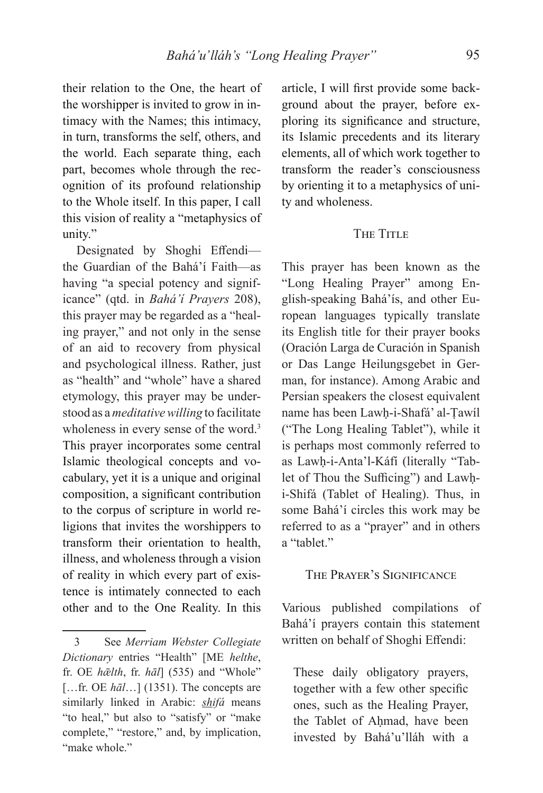their relation to the One, the heart of the worshipper is invited to grow in intimacy with the Names; this intimacy, in turn, transforms the self, others, and the world. Each separate thing, each part, becomes whole through the recognition of its profound relationship to the Whole itself. In this paper, I call this vision of reality a "metaphysics of unity."

Designated by Shoghi Effendithe Guardian of the Bahá'í Faith—as having "a special potency and significance" (qtd. in *Bahá'í Prayers* 208), this prayer may be regarded as a "healing prayer," and not only in the sense of an aid to recovery from physical and psychological illness. Rather, just as "health" and "whole" have a shared etymology, this prayer may be understood as a *meditative willing* to facilitate wholeness in every sense of the word.<sup>3</sup> This prayer incorporates some central Islamic theological concepts and vocabulary, yet it is a unique and original composition, a significant contribution to the corpus of scripture in world religions that invites the worshippers to transform their orientation to health, illness, and wholeness through a vision of reality in which every part of existence is intimately connected to each other and to the One Reality. In this

article, I will first provide some background about the prayer, before exploring its significance and structure, its Islamic precedents and its literary elements, all of which work together to transform the reader's consciousness by orienting it to a metaphysics of unity and wholeness.

# THE TITLE

This prayer has been known as the "Long Healing Prayer" among English-speaking Bahá'ís, and other European languages typically translate its English title for their prayer books (Oración Larga de Curación in Spanish or Das Lange Heilungsgebet in German, for instance). Among Arabic and Persian speakers the closest equivalent name has been Lawḥ-i-Shafá' al-Ṭawíl ("The Long Healing Tablet"), while it is perhaps most commonly referred to as Lawḥ-i-Anta'l-Káfí (literally "Tablet of Thou the Sufficing") and Lawhi-Shifá (Tablet of Healing). Thus, in some Bahá'í circles this work may be referred to as a "prayer" and in others a "tablet"

### THE PRAYER'S SIGNIFICANCE

Various published compilations of Bahá'í prayers contain this statement written on behalf of Shoghi Effendi:

These daily obligatory prayers, together with a few other specific ones, such as the Healing Prayer, the Tablet of Ahmad, have been invested by Bahá'u'lláh with a

<sup>3</sup> See *Merriam Webster Collegiate Dictionary* entries "Health" [ME *helthe*, fr. OE *hǣlth*, fr. *hāl*] (535) and "Whole" [...fr. OE  $h\bar{a}$ *l*...] (1351). The concepts are similarly linked in Arabic: *shifá* means "to heal," but also to "satisfy" or "make complete," "restore," and, by implication, "make whole."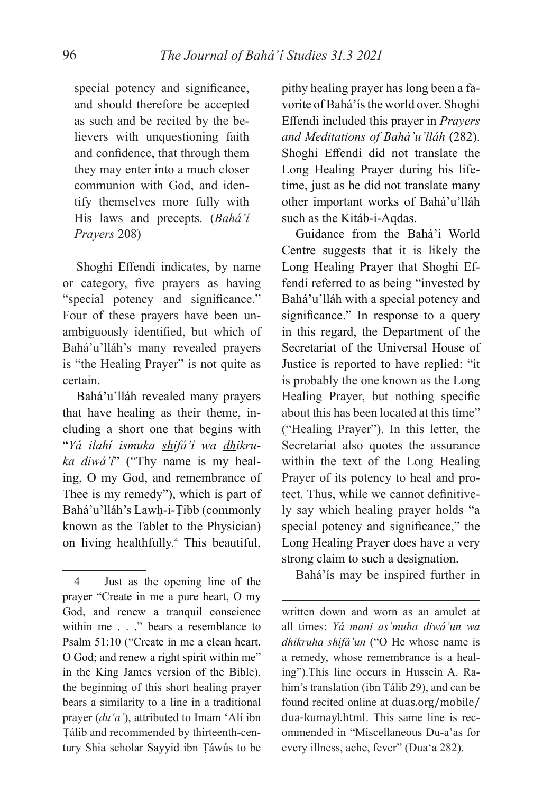special potency and significance, and should therefore be accepted as such and be recited by the believers with unquestioning faith and confidence, that through them they may enter into a much closer communion with God, and identify themselves more fully with His laws and precepts. (*Bahá'í Prayers* 208)

Shoghi Effendi indicates, by name or category, five prayers as having "special potency and significance." Four of these prayers have been unambiguously identified, but which of Bahá'u'lláh's many revealed prayers is "the Healing Prayer" is not quite as certain.

Bahá'u'lláh revealed many prayers that have healing as their theme, including a short one that begins with "*Yá ilahí ismuka shifá'í wa dhikruka diwá'í*" ("Thy name is my healing, O my God, and remembrance of Thee is my remedy"), which is part of Bahá'u'lláh's Lawḥ-i-Ṭibb (commonly known as the Tablet to the Physician) on living healthfully.4 This beautiful,

pithy healing prayer has long been a favorite of Bahá'ís the world over. Shoghi Eff endi included this prayer in *Prayers and Meditations of Bahá'u'lláh* (282). Shoghi Effendi did not translate the Long Healing Prayer during his lifetime, just as he did not translate many other important works of Bahá'u'lláh such as the Kitáb-i-Aqdas.

Guidance from the Bahá'í World Centre suggests that it is likely the Long Healing Prayer that Shoghi Effendi referred to as being "invested by Bahá'u'lláh with a special potency and significance." In response to a query in this regard, the Department of the Secretariat of the Universal House of Justice is reported to have replied: "it is probably the one known as the Long Healing Prayer, but nothing specific about this has been located at this time" ("Healing Prayer"). In this letter, the Secretariat also quotes the assurance within the text of the Long Healing Prayer of its potency to heal and protect. Thus, while we cannot definitively say which healing prayer holds "a special potency and significance," the Long Healing Prayer does have a very strong claim to such a designation.

Bahá'ís may be inspired further in

written down and worn as an amulet at all times: *Yá mani as'muha diwá'un wa dhikruha shifá'un* ("O He whose name is a remedy, whose remembrance is a healing").This line occurs in Hussein A. Rahim's translation (ibn Tálib 29), and can be found recited online at duas.org/mobile/ dua-kumayl.html. This same line is recommended in "Miscellaneous Du-a'as for every illness, ache, fever" (Dua'a 282).

<sup>4</sup> Just as the opening line of the prayer "Create in me a pure heart, O my God, and renew a tranquil conscience within me . . ." bears a resemblance to Psalm 51:10 ("Create in me a clean heart, O God; and renew a right spirit within me" in the King James version of the Bible), the beginning of this short healing prayer bears a similarity to a line in a traditional prayer (*du'a'*), attributed to Imam 'Alí ibn Ṭálib and recommended by thirteenth-century Shia scholar Sayyid ibn Ṭáwús to be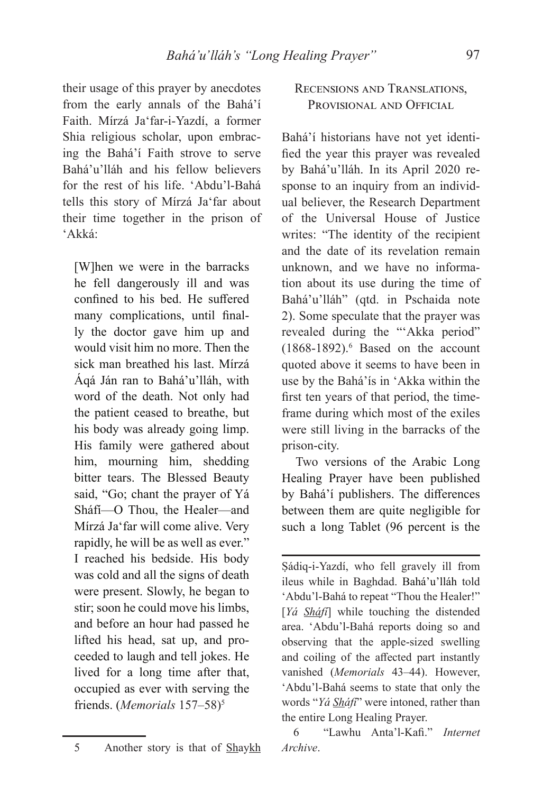their usage of this prayer by anecdotes from the early annals of the Bahá'í Faith. Mírzá Ja'far-i-Yazdí, a former Shia religious scholar, upon embracing the Bahá'í Faith strove to serve Bahá'u'lláh and his fellow believers for the rest of his life. 'Abdu'l-Bahá tells this story of Mírzá Ja'far about their time together in the prison of 'Akká:

[W]hen we were in the barracks he fell dangerously ill and was confined to his bed. He suffered many complications, until finally the doctor gave him up and would visit him no more. Then the sick man breathed his last. Mírzá Áqá Ján ran to Bahá'u'lláh, with word of the death. Not only had the patient ceased to breathe, but his body was already going limp. His family were gathered about him, mourning him, shedding bitter tears. The Blessed Beauty said, "Go; chant the prayer of Yá Sháfí—O Thou, the Healer—and Mírzá Ja'far will come alive. Very rapidly, he will be as well as ever." I reached his bedside. His body was cold and all the signs of death were present. Slowly, he began to stir; soon he could move his limbs, and before an hour had passed he lifted his head, sat up, and proceeded to laugh and tell jokes. He lived for a long time after that, occupied as ever with serving the friends. (*Memorials* 157–58)<sup>5</sup>

# RECENSIONS AND TRANSLATIONS, PROVISIONAL AND OFFICIAL

Bahá'í historians have not yet identified the year this prayer was revealed by Bahá'u'lláh. In its April 2020 response to an inquiry from an individual believer, the Research Department of the Universal House of Justice writes: "The identity of the recipient and the date of its revelation remain unknown, and we have no information about its use during the time of Bahá'u'lláh" (qtd. in Pschaida note 2). Some speculate that the prayer was revealed during the "'Akka period" (1868-1892).6 Based on the account quoted above it seems to have been in use by the Bahá'ís in 'Akka within the first ten years of that period, the timeframe during which most of the exiles were still living in the barracks of the prison-city.

Two versions of the Arabic Long Healing Prayer have been published by Bahá'í publishers. The differences between them are quite negligible for such a long Tablet (96 percent is the

Ṣádiq-i-Yazdí, who fell gravely ill from ileus while in Baghdad. Bahá'u'lláh told 'Abdu'l-Bahá to repeat "Thou the Healer!" [*Yá Sháfí*] while touching the distended area. 'Abdu'l-Bahá reports doing so and observing that the apple-sized swelling and coiling of the affected part instantly vanished (*Memorials* 43–44). However, 'Abdu'l-Bahá seems to state that only the words "*Yá Sháfí*" were intoned, rather than the entire Long Healing Prayer.

6 "Lawhu Anta'l-Kafi ." *Internet Archive*.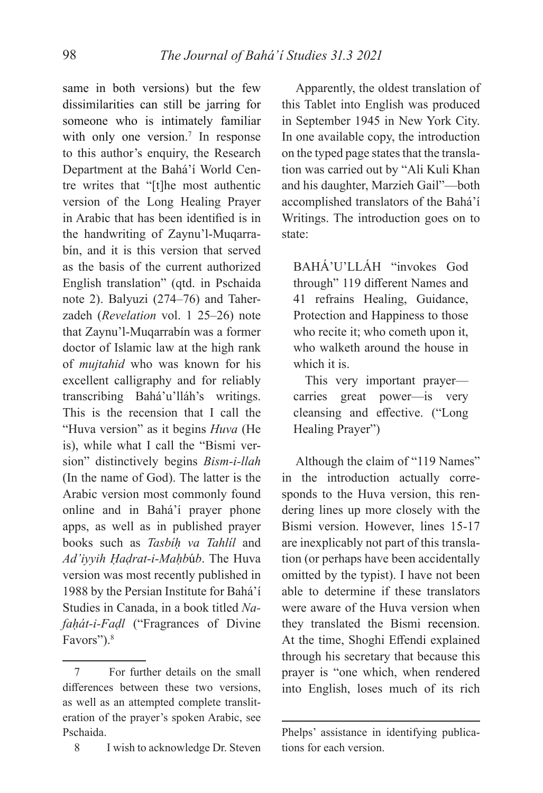same in both versions) but the few dissimilarities can still be jarring for someone who is intimately familiar with only one version.<sup>7</sup> In response to this author's enquiry, the Research Department at the Bahá'í World Centre writes that "[t]he most authentic version of the Long Healing Prayer in Arabic that has been identified is in the handwriting of Zaynu'l-Muqarrabín, and it is this version that served as the basis of the current authorized English translation" (qtd. in Pschaida note 2). Balyuzi (274–76) and Taherzadeh (*Revelation* vol. 1 25–26) note that Zaynu'l-Muqarrabín was a former doctor of Islamic law at the high rank of *mujtahid* who was known for his excellent calligraphy and for reliably transcribing Bahá'u'lláh's writings. This is the recension that I call the "Huva version" as it begins *Huva* (He is), while what I call the "Bismi version" distinctively begins *Bism-i-llah*  (In the name of God). The latter is the Arabic version most commonly found online and in Bahá'í prayer phone apps, as well as in published prayer books such as *Tasbíḥ va Tahlíl* and *Ad'iyyih Ḥaḍrat-i-Maḥb*ú*b*. The Huva version was most recently published in 1988 by the Persian Institute for Bahá'í Studies in Canada, in a book titled *Nafaḥát-i-Faḍl* ("Fragrances of Divine Favors").<sup>8</sup>

8 I wish to acknowledge Dr. Steven

Apparently, the oldest translation of this Tablet into English was produced in September 1945 in New York City. In one available copy, the introduction on the typed page states that the translation was carried out by "Ali Kuli Khan and his daughter, Marzieh Gail"—both accomplished translators of the Bahá'í Writings. The introduction goes on to state:

BAHÁ'U'LLÁH "invokes God through" 119 different Names and 41 refrains Healing, Guidance, Protection and Happiness to those who recite it; who cometh upon it, who walketh around the house in which it is.

This very important prayer carries great power—is very cleansing and effective. ("Long Healing Prayer")

Although the claim of "119 Names" in the introduction actually corresponds to the Huva version, this rendering lines up more closely with the Bismi version. However, lines 15-17 are inexplicably not part of this translation (or perhaps have been accidentally omitted by the typist). I have not been able to determine if these translators were aware of the Huva version when they translated the Bismi recension. At the time, Shoghi Effendi explained through his secretary that because this prayer is "one which, when rendered into English, loses much of its rich

<sup>7</sup> For further details on the small differences between these two versions, as well as an attempted complete transliteration of the prayer's spoken Arabic, see Pschaida.

Phelps' assistance in identifying publications for each version.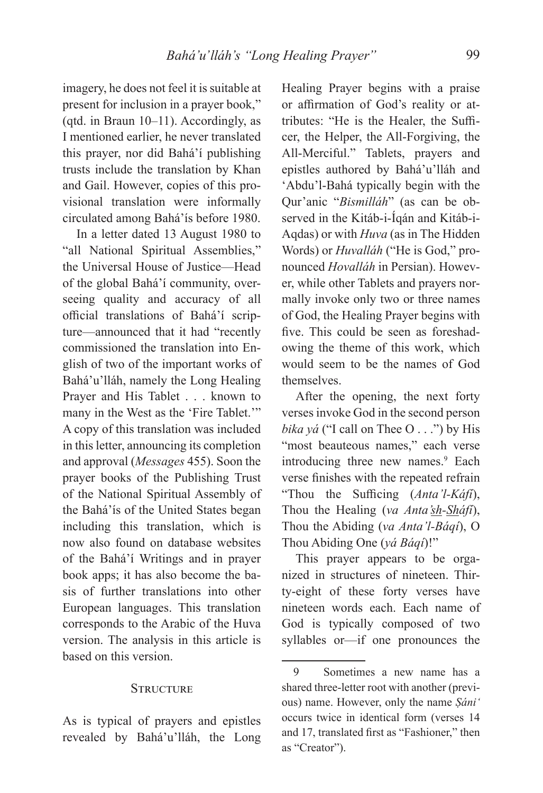imagery, he does not feel it is suitable at present for inclusion in a prayer book," (qtd. in Braun 10–11). Accordingly, as I mentioned earlier, he never translated this prayer, nor did Bahá'í publishing trusts include the translation by Khan and Gail. However, copies of this provisional translation were informally circulated among Bahá'ís before 1980.

In a letter dated 13 August 1980 to "all National Spiritual Assemblies," the Universal House of Justice—Head of the global Bahá'í community, overseeing quality and accuracy of all official translations of Bahá'í scripture—announced that it had "recently commissioned the translation into English of two of the important works of Bahá'u'lláh, namely the Long Healing Prayer and His Tablet . . . known to many in the West as the 'Fire Tablet.'" A copy of this translation was included in this letter, announcing its completion and approval (*Messages* 455). Soon the prayer books of the Publishing Trust of the National Spiritual Assembly of the Bahá'ís of the United States began including this translation, which is now also found on database websites of the Bahá'í Writings and in prayer book apps; it has also become the basis of further translations into other European languages. This translation corresponds to the Arabic of the Huva version. The analysis in this article is based on this version.

### **STRUCTURE**

As is typical of prayers and epistles revealed by Bahá'u'lláh, the Long

Healing Prayer begins with a praise or affirmation of God's reality or attributes: "He is the Healer, the Sufficer, the Helper, the All-Forgiving, the All-Merciful." Tablets, prayers and epistles authored by Bahá'u'lláh and 'Abdu'l-Bahá typically begin with the Qur'anic "*Bismilláh*" (as can be observed in the Kitáb-i-Íqán and Kitáb-i-Aqdas) or with *Huva* (as in The Hidden Words) or *Huvalláh* ("He is God," pronounced *Hovalláh* in Persian). However, while other Tablets and prayers normally invoke only two or three names of God, the Healing Prayer begins with five. This could be seen as foreshadowing the theme of this work, which would seem to be the names of God themselves.

After the opening, the next forty verses invoke God in the second person *bika yá* ("I call on Thee O . . .") by His "most beauteous names," each verse introducing three new names.<sup>9</sup> Each verse finishes with the repeated refrain "Thou the Sufficing (*Anta'l-Káfí*), Thou the Healing (*va Anta'sh-Sháfí*), Thou the Abiding (*va Anta'l-Báqí*), O Thou Abiding One (*yá Báqí*)!"

This prayer appears to be organized in structures of nineteen. Thirty-eight of these forty verses have nineteen words each. Each name of God is typically composed of two syllables or—if one pronounces the

<sup>9</sup> Sometimes a new name has a shared three-letter root with another (previous) name. However, only the name *Ṣáni'* occurs twice in identical form (verses 14 and 17, translated first as "Fashioner," then as "Creator").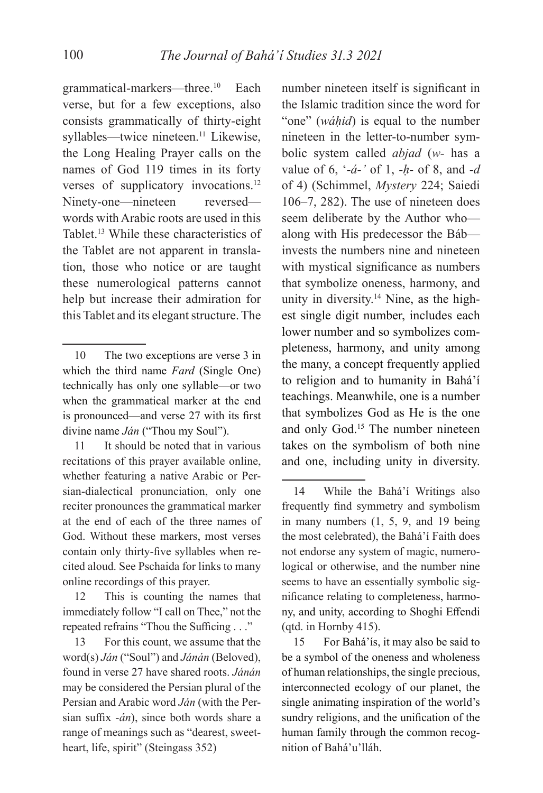grammatical-markers—three.10 Each verse, but for a few exceptions, also consists grammatically of thirty-eight syllables—twice nineteen.<sup>11</sup> Likewise, the Long Healing Prayer calls on the names of God 119 times in its forty verses of supplicatory invocations.<sup>12</sup> Ninety-one—nineteen reversed words with Arabic roots are used in this Tablet.13 While these characteristics of the Tablet are not apparent in translation, those who notice or are taught these numerological patterns cannot help but increase their admiration for this Tablet and its elegant structure. The

11 It should be noted that in various recitations of this prayer available online, whether featuring a native Arabic or Persian-dialectical pronunciation, only one reciter pronounces the grammatical marker at the end of each of the three names of God. Without these markers, most verses contain only thirty-five syllables when recited aloud. See Pschaida for links to many online recordings of this prayer.

12 This is counting the names that immediately follow "I call on Thee," not the repeated refrains "Thou the Sufficing . . ."

13 For this count, we assume that the word(s) *Ján* ("Soul") and *Jánán* (Beloved), found in verse 27 have shared roots. *Jánán*  may be considered the Persian plural of the Persian and Arabic word *Ján* (with the Persian suffix -*án*), since both words share a range of meanings such as "dearest, sweetheart, life, spirit" (Steingass 352)

number nineteen itself is significant in the Islamic tradition since the word for "one" (*wáḥid*) is equal to the number nineteen in the letter-to-number symbolic system called *abjad* (*w-* has a value of 6, '*-á-'* of 1, *-ḥ-* of 8, and *-d* of 4) (Schimmel, *Mystery* 224; Saiedi 106–7, 282). The use of nineteen does seem deliberate by the Author who along with His predecessor the Báb invests the numbers nine and nineteen with mystical significance as numbers that symbolize oneness, harmony, and unity in diversity.14 Nine, as the highest single digit number, includes each lower number and so symbolizes completeness, harmony, and unity among the many, a concept frequently applied to religion and to humanity in Bahá'í teachings. Meanwhile, one is a number that symbolizes God as He is the one and only God.15 The number nineteen takes on the symbolism of both nine and one, including unity in diversity.

15 For Bahá'ís, it may also be said to be a symbol of the oneness and wholeness of human relationships, the single precious, interconnected ecology of our planet, the single animating inspiration of the world's sundry religions, and the unification of the human family through the common recognition of Bahá'u'lláh.

<sup>10</sup> The two exceptions are verse 3 in which the third name *Fard* (Single One) technically has only one syllable—or two when the grammatical marker at the end is pronounced—and verse 27 with its first divine name *Ján* ("Thou my Soul").

<sup>14</sup> While the Bahá'í Writings also frequently find symmetry and symbolism in many numbers (1, 5, 9, and 19 being the most celebrated), the Bahá'í Faith does not endorse any system of magic, numerological or otherwise, and the number nine seems to have an essentially symbolic significance relating to completeness, harmony, and unity, according to Shoghi Effendi (qtd. in Hornby 415).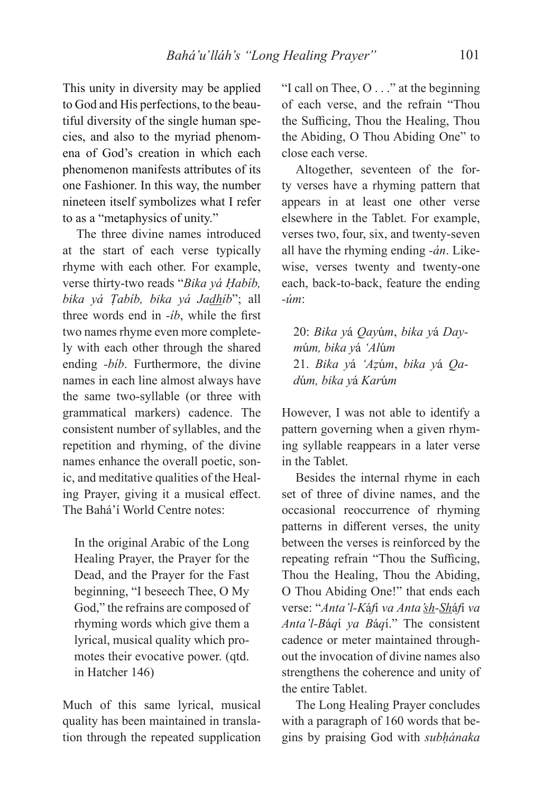This unity in diversity may be applied to God and His perfections, to the beautiful diversity of the single human species, and also to the myriad phenomena of God's creation in which each phenomenon manifests attributes of its one Fashioner. In this way, the number nineteen itself symbolizes what I refer to as a "metaphysics of unity."

The three divine names introduced at the start of each verse typically rhyme with each other. For example, verse thirty-two reads "*Bika yá Ḥabíb, bika yá Ṭabíb, bika yá Jadhíb*"; all three words end in *-ib*, while the first two names rhyme even more completely with each other through the shared ending *-bíb*. Furthermore, the divine names in each line almost always have the same two-syllable (or three with grammatical markers) cadence. The consistent number of syllables, and the repetition and rhyming, of the divine names enhance the overall poetic, sonic, and meditative qualities of the Healing Prayer, giving it a musical effect. The Bahá'í World Centre notes:

In the original Arabic of the Long Healing Prayer, the Prayer for the Dead, and the Prayer for the Fast beginning, "I beseech Thee, O My God," the refrains are composed of rhyming words which give them a lyrical, musical quality which promotes their evocative power. (qtd. in Hatcher 146)

Much of this same lyrical, musical quality has been maintained in translation through the repeated supplication "I call on Thee, O . . ." at the beginning of each verse, and the refrain "Thou the Sufficing, Thou the Healing, Thou the Abiding, O Thou Abiding One" to close each verse.

Altogether, seventeen of the forty verses have a rhyming pattern that appears in at least one other verse elsewhere in the Tablet. For example, verses two, four, six, and twenty-seven all have the rhyming ending *-án*. Likewise, verses twenty and twenty-one each, back-to-back, feature the ending *-úm*:

20: *Bika y*á *Qay*ú*m*, *bika y*á *Daym*ú*m, bika y*á *'Al*ú*m* 21. *Bika y*á *'Aẓ*ú*m*, *bika y*á *Qad*ú*m, bika y*á *Kar*ú*m*

However, I was not able to identify a pattern governing when a given rhyming syllable reappears in a later verse in the Tablet.

Besides the internal rhyme in each set of three of divine names, and the occasional reoccurrence of rhyming patterns in different verses, the unity between the verses is reinforced by the repeating refrain "Thou the Sufficing, Thou the Healing, Thou the Abiding, O Thou Abiding One!" that ends each verse: "*Anta'l-K*á*f*í *va Anta'sh-Sh*á*f*í *va Anta'l-B*á*q*í *ya B*á*q*í." The consistent cadence or meter maintained throughout the invocation of divine names also strengthens the coherence and unity of the entire Tablet.

The Long Healing Prayer concludes with a paragraph of 160 words that begins by praising God with *subḥánaka*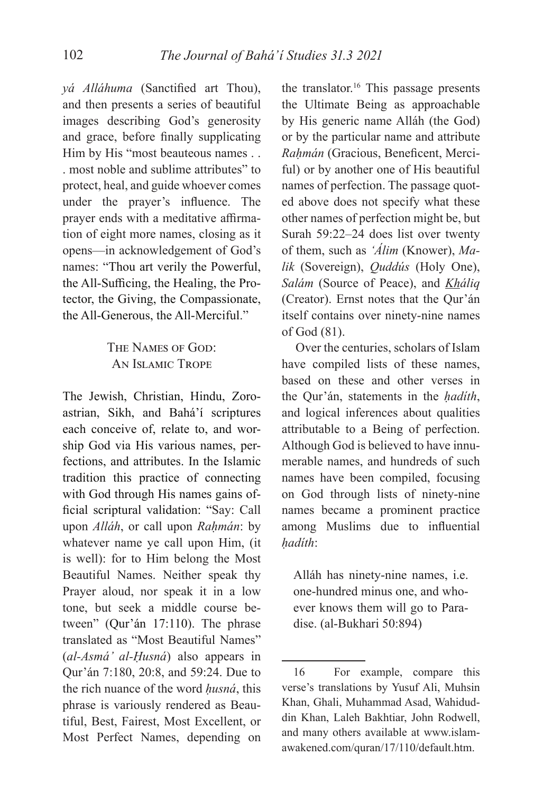*yá Alláhuma* (Sanctified art Thou), and then presents a series of beautiful images describing God's generosity and grace, before finally supplicating Him by His "most beauteous names . . . most noble and sublime attributes" to protect, heal, and guide whoever comes under the prayer's influence. The prayer ends with a meditative affirmation of eight more names, closing as it opens—in acknowledgement of God's names: "Thou art verily the Powerful, the All-Sufficing, the Healing, the Protector, the Giving, the Compassionate, the All-Generous, the All-Merciful."

> THE NAMES OF GOD: AN ISLAMIC TROPE

The Jewish, Christian, Hindu, Zoroastrian, Sikh, and Bahá'í scriptures each conceive of, relate to, and worship God via His various names, perfections, and attributes. In the Islamic tradition this practice of connecting with God through His names gains official scriptural validation: "Say: Call upon *Alláh*, or call upon *Raḥmán*: by whatever name ye call upon Him, (it is well): for to Him belong the Most Beautiful Names. Neither speak thy Prayer aloud, nor speak it in a low tone, but seek a middle course between" (Qur'án 17:110). The phrase translated as "Most Beautiful Names" (*al-Asmá' al-Ḥusná*) also appears in Qur'án 7:180, 20:8, and 59:24. Due to the rich nuance of the word *ḥusná*, this phrase is variously rendered as Beautiful, Best, Fairest, Most Excellent, or Most Perfect Names, depending on the translator.<sup>16</sup> This passage presents the Ultimate Being as approachable by His generic name Alláh (the God) or by the particular name and attribute *Rahmán* (Gracious, Beneficent, Merciful) or by another one of His beautiful names of perfection. The passage quoted above does not specify what these other names of perfection might be, but Surah 59:22–24 does list over twenty of them, such as *'Álim* (Knower), *Malik* (Sovereign), *Quddús* (Holy One), *Salám* (Source of Peace), and *Kháliq* (Creator). Ernst notes that the Qur'án itself contains over ninety-nine names of God (81).

Over the centuries, scholars of Islam have compiled lists of these names, based on these and other verses in the Qur'án, statements in the *ḥadíth*, and logical inferences about qualities attributable to a Being of perfection. Although God is believed to have innumerable names, and hundreds of such names have been compiled, focusing on God through lists of ninety-nine names became a prominent practice among Muslims due to influential *ḥadíth*:

Alláh has ninety-nine names, i.e. one-hundred minus one, and whoever knows them will go to Paradise. (al-Bukhari 50:894)

<sup>16</sup> For example, compare this verse's translations by Yusuf Ali, Muhsin Khan, Ghali, Muhammad Asad, Wahiduddin Khan, Laleh Bakhtiar, John Rodwell, and many others available at www.islamawakened.com/quran/17/110/default.htm.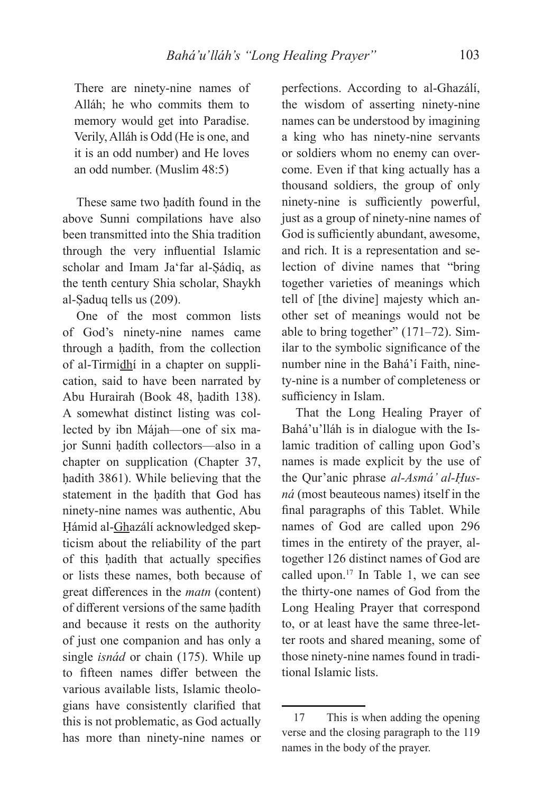There are ninety-nine names of Alláh; he who commits them to memory would get into Paradise. Verily, Alláh is Odd (He is one, and it is an odd number) and He loves an odd number. (Muslim 48:5)

These same two hadíth found in the above Sunni compilations have also been transmitted into the Shia tradition through the very influential Islamic scholar and Imam Ja'far al-Ṣádiq, as the tenth century Shia scholar, Shaykh al-Ṣaduq tells us (209).

One of the most common lists of God's ninety-nine names came through a hadíth, from the collection of al-Tirmidhí in a chapter on supplication, said to have been narrated by Abu Hurairah (Book 48, hadith 138). A somewhat distinct listing was collected by ibn Májah—one of six major Sunni ḥadíth collectors—also in a chapter on supplication (Chapter 37, hadith 3861). While believing that the statement in the hadíth that God has ninety-nine names was authentic, Abu Ḥámid al-Ghazálí acknowledged skepticism about the reliability of the part of this hadíth that actually specifies or lists these names, both because of great differences in the *matn* (content) of different versions of the same hadíth and because it rests on the authority of just one companion and has only a single *isnád* or chain (175). While up to fifteen names differ between the various available lists, Islamic theologians have consistently clarified that this is not problematic, as God actually has more than ninety-nine names or

perfections. According to al-Ghazálí, the wisdom of asserting ninety-nine names can be understood by imagining a king who has ninety-nine servants or soldiers whom no enemy can overcome. Even if that king actually has a thousand soldiers, the group of only ninety-nine is sufficiently powerful, just as a group of ninety-nine names of God is sufficiently abundant, awesome, and rich. It is a representation and selection of divine names that "bring together varieties of meanings which tell of [the divine] majesty which another set of meanings would not be able to bring together" (171–72). Similar to the symbolic significance of the number nine in the Bahá'í Faith, ninety-nine is a number of completeness or sufficiency in Islam.

That the Long Healing Prayer of Bahá'u'lláh is in dialogue with the Islamic tradition of calling upon God's names is made explicit by the use of the Qur'anic phrase *al-Asmá' al-Ḥusná* (most beauteous names) itself in the final paragraphs of this Tablet. While names of God are called upon 296 times in the entirety of the prayer, altogether 126 distinct names of God are called upon.<sup>17</sup> In Table 1, we can see the thirty-one names of God from the Long Healing Prayer that correspond to, or at least have the same three-letter roots and shared meaning, some of those ninety-nine names found in traditional Islamic lists.

<sup>17</sup> This is when adding the opening verse and the closing paragraph to the 119 names in the body of the prayer.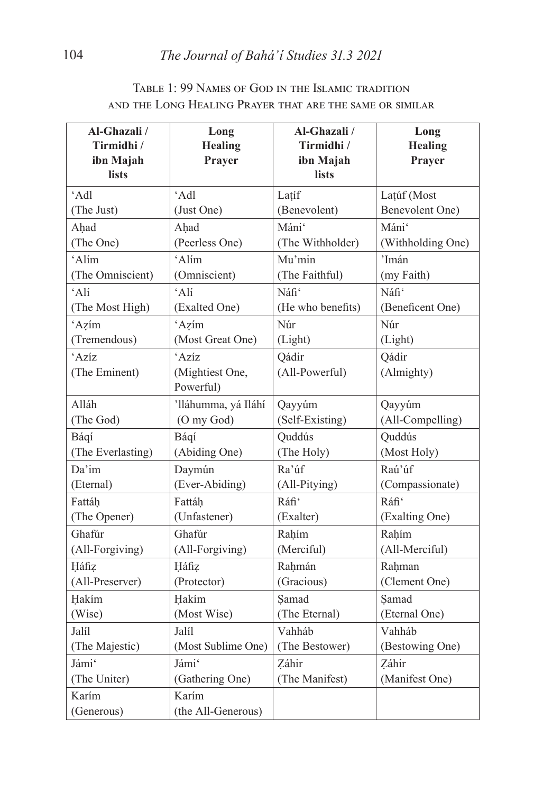| Al-Ghazali /      | Long                | Al-Ghazali /      | Long              |
|-------------------|---------------------|-------------------|-------------------|
| Tirmidhi /        | <b>Healing</b>      | Tirmidhi /        | <b>Healing</b>    |
| ibn Majah         | Prayer              | ibn Majah         | Prayer            |
| lists             |                     | lists             |                   |
| $'$ Adl           | 'Adl                | Latíf             | Lațúf (Most       |
| (The Just)        | (Just One)          | (Benevolent)      | Benevolent One)   |
| Ahad              | Ahad                | Máni'             | Máni'             |
| (The One)         | (Peerless One)      | (The Withholder)  | (Withholding One) |
| 'Alím             | 'Alím               | Mu'min            | 'Imán             |
| (The Omniscient)  | (Omniscient)        | (The Faithful)    | (my Faith)        |
| 'Alí              | 'Alí                | Náfi'             | Náfi'             |
| (The Most High)   | (Exalted One)       | (He who benefits) | (Beneficent One)  |
| 'Azím             | 'Azim               | Núr               | Núr               |
| (Tremendous)      | (Most Great One)    | (Light)           | (Light)           |
| 'Azíz             | 'Azíz               | Qádir             | Qádir             |
| (The Eminent)     | (Mightiest One,     | (All-Powerful)    | (Almighty)        |
|                   | Powerful)           |                   |                   |
| Alláh             | 'lláhumma, yá Iláhí | Qayyúm            | Qayyúm            |
| (The God)         | (O my God)          | (Self-Existing)   | (All-Compelling)  |
| Báqí              | Báqí                | Quddús            | Quddús            |
| (The Everlasting) | (Abiding One)       | (The Holy)        | (Most Holy)       |
| Da'im             | Daymún              | Ra'úf             | Raú'úf            |
| (Eternal)         | (Ever-Abiding)      | (All-Pitying)     | (Compassionate)   |
| Fattáh            | Fattáh              | Ráfi'             | Ráfi <sup>c</sup> |
| (The Opener)      | (Unfastener)        | (Exalter)         | (Exalting One)    |
| Ghafúr            | Ghafúr              | Rahím             | Rahím             |
| (All-Forgiving)   | (All-Forgiving)     | (Merciful)        | (All-Merciful)    |
| Háfiz             | Háfiz               | Rahmán            | Rahman            |
| (All-Preserver)   | (Protector)         | (Gracious)        | (Clement One)     |
| Hakím             | Hakím               | Samad             | Samad             |
| (Wise)            | (Most Wise)         | (The Eternal)     | (Eternal One)     |
| Jalíl             | Jalíl               | Vahháb            | Vahháb            |
| (The Majestic)    | (Most Sublime One)  | (The Bestower)    | (Bestowing One)   |
| Jámi'             | Jámi'               | Záhir             | Záhir             |
| (The Uniter)      | (Gathering One)     | (The Manifest)    | (Manifest One)    |
| Karím             | Karím               |                   |                   |
| (Generous)        | (the All-Generous)  |                   |                   |

# TABLE 1: 99 NAMES OF GOD IN THE ISLAMIC TRADITION AND THE LONG HEALING PRAYER THAT ARE THE SAME OR SIMILAR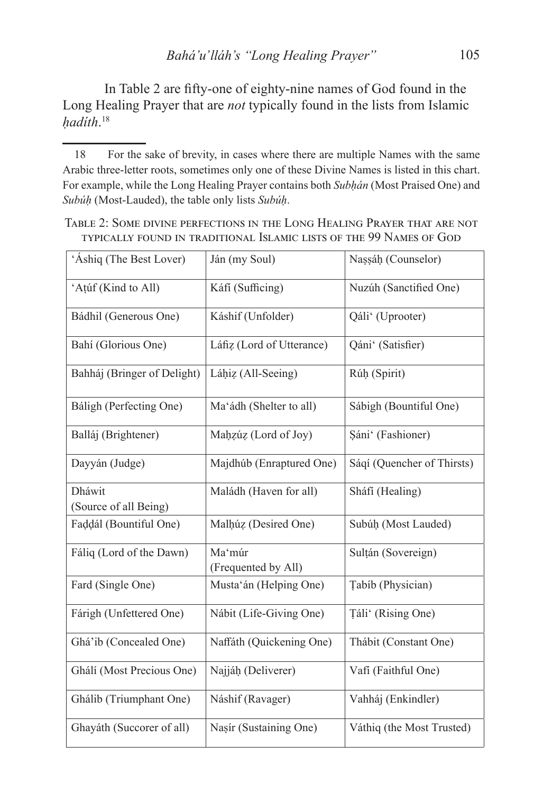In Table 2 are fifty-one of eighty-nine names of God found in the Long Healing Prayer that are *not* typically found in the lists from Islamic *ḥadíth*. 18

TABLE 2: SOME DIVINE PERFECTIONS IN THE LONG HEALING PRAYER THAT ARE NOT TYPICALLY FOUND IN TRADITIONAL ISLAMIC LISTS OF THE 99 NAMES OF GOD

| 'Áshiq (The Best Lover)         | Ján (my Soul)                 | Nașsáh (Counselor)         |
|---------------------------------|-------------------------------|----------------------------|
| 'Aṭúf (Kind to All)             | Káfí (Sufficing)              | Nuzúh (Sanctified One)     |
| Bádhil (Generous One)           | Káshif (Unfolder)             | Qáli' (Uprooter)           |
| Bahí (Glorious One)             | Láfiz (Lord of Utterance)     | Qáni' (Satisfier)          |
| Bahháj (Bringer of Delight)     | Láhiz (All-Seeing)            | Rúḥ (Spirit)               |
| Báligh (Perfecting One)         | Ma'ádh (Shelter to all)       | Sábigh (Bountiful One)     |
| Balláj (Brightener)             | Mahzúz (Lord of Joy)          | Sáni' (Fashioner)          |
| Dayyán (Judge)                  | Majdhúb (Enraptured One)      | Sáqí (Quencher of Thirsts) |
| Dháwit<br>(Source of all Being) | Maládh (Haven for all)        | Sháfí (Healing)            |
| Faddál (Bountiful One)          | Malhúz (Desired One)          | Subúh (Most Lauded)        |
| Fáliq (Lord of the Dawn)        | Ma'múr<br>(Frequented by All) | Sultán (Sovereign)         |
| Fard (Single One)               | Musta'án (Helping One)        | Tabíb (Physician)          |
| Fárigh (Unfettered One)         | Nábit (Life-Giving One)       | Țáli' (Rising One)         |
| Ghá'ib (Concealed One)          | Naffáth (Quickening One)      | Thábit (Constant One)      |
| Ghálí (Most Precious One)       | Najjáh (Deliverer)            | Vafí (Faithful One)        |
| Ghálib (Triumphant One)         | Náshif (Ravager)              | Vahháj (Enkindler)         |
| Ghayáth (Succorer of all)       | Nasír (Sustaining One)        | Váthiq (the Most Trusted)  |

<sup>18</sup> For the sake of brevity, in cases where there are multiple Names with the same Arabic three-letter roots, sometimes only one of these Divine Names is listed in this chart. For example, while the Long Healing Prayer contains both *Subḥán* (Most Praised One) and *Subúḥ* (Most-Lauded), the table only lists *Subúḥ*.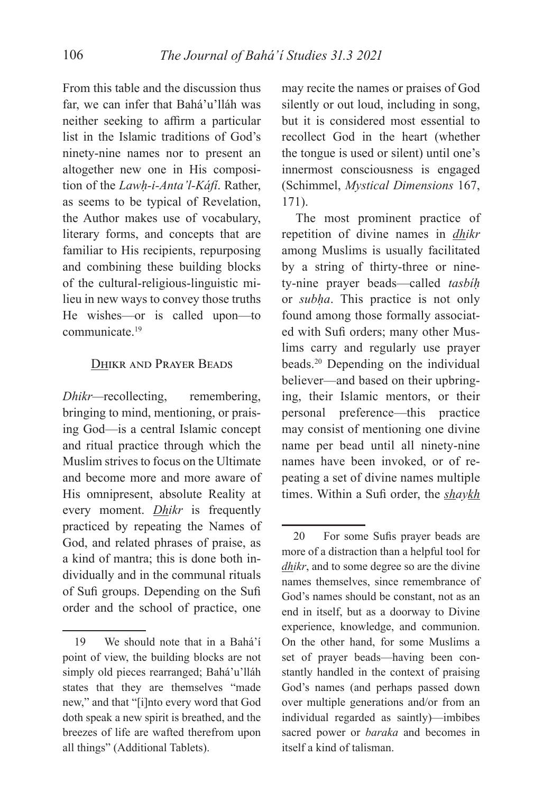From this table and the discussion thus far, we can infer that Bahá'u'lláh was neither seeking to affirm a particular list in the Islamic traditions of God's ninety-nine names nor to present an altogether new one in His composition of the *Lawḥ-i-Anta'l-Káfí*. Rather, as seems to be typical of Revelation, the Author makes use of vocabulary, literary forms, and concepts that are familiar to His recipients, repurposing and combining these building blocks of the cultural-religious-linguistic milieu in new ways to convey those truths He wishes—or is called upon—to communicate.19

### DHIKR AND PRAYER BEADS

*Dhikr*—recollecting, remembering, bringing to mind, mentioning, or praising God—is a central Islamic concept and ritual practice through which the Muslim strives to focus on the Ultimate and become more and more aware of His omnipresent, absolute Reality at every moment. *Dhikr* is frequently practiced by repeating the Names of God, and related phrases of praise, as a kind of mantra; this is done both individually and in the communal rituals of Sufi groups. Depending on the Sufi order and the school of practice, one

may recite the names or praises of God silently or out loud, including in song, but it is considered most essential to recollect God in the heart (whether the tongue is used or silent) until one's innermost consciousness is engaged (Schimmel, *Mystical Dimensions* 167, 171).

The most prominent practice of repetition of divine names in *dhikr*  among Muslims is usually facilitated by a string of thirty-three or ninety-nine prayer beads—called *tasbíḥ* or *subḥa*. This practice is not only found among those formally associated with Sufi orders; many other Muslims carry and regularly use prayer beads.20 Depending on the individual believer—and based on their upbringing, their Islamic mentors, or their personal preference—this practice may consist of mentioning one divine name per bead until all ninety-nine names have been invoked, or of repeating a set of divine names multiple times. Within a Sufi order, the *shaykh*

<sup>19</sup> We should note that in a Bahá'í point of view, the building blocks are not simply old pieces rearranged; Bahá'u'lláh states that they are themselves "made new," and that "[i]nto every word that God doth speak a new spirit is breathed, and the breezes of life are wafted therefrom upon all things" (Additional Tablets).

<sup>20</sup> For some Sufis prayer beads are more of a distraction than a helpful tool for *dhikr*, and to some degree so are the divine names themselves, since remembrance of God's names should be constant, not as an end in itself, but as a doorway to Divine experience, knowledge, and communion. On the other hand, for some Muslims a set of prayer beads—having been constantly handled in the context of praising God's names (and perhaps passed down over multiple generations and/or from an individual regarded as saintly)—imbibes sacred power or *baraka* and becomes in itself a kind of talisman.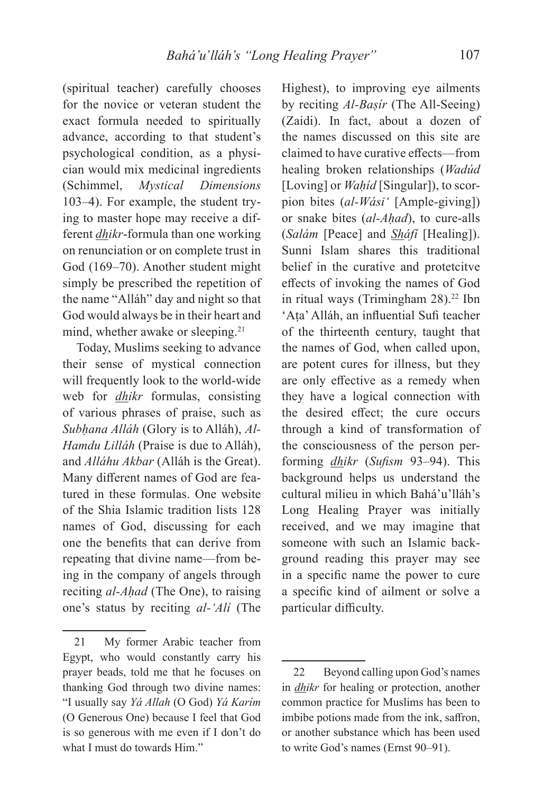(spiritual teacher) carefully chooses for the novice or veteran student the exact formula needed to spiritually advance, according to that student's psychological condition, as a physician would mix medicinal ingredients (Schimmel, *Mystical Dimensions*  103–4). For example, the student trying to master hope may receive a different *dhikr*-formula than one working on renunciation or on complete trust in God (169–70). Another student might simply be prescribed the repetition of the name "Alláh" day and night so that God would always be in their heart and mind, whether awake or sleeping.<sup>21</sup>

Today, Muslims seeking to advance their sense of mystical connection will frequently look to the world-wide web for *dhikr* formulas, consisting of various phrases of praise, such as *Subḥana Alláh* (Glory is to Alláh), *Al-Hamdu Lilláh* (Praise is due to Alláh), and *Alláhu Akbar* (Alláh is the Great). Many different names of God are featured in these formulas. One website of the Shia Islamic tradition lists 128 names of God, discussing for each one the benefits that can derive from repeating that divine name—from being in the company of angels through reciting *al-Aḥad* (The One), to raising one's status by reciting *al-'Alí* (The Highest), to improving eye ailments by reciting *Al-Baṣír* (The All-Seeing) (Zaidi). In fact, about a dozen of the names discussed on this site are claimed to have curative effects—from healing broken relationships (*Wadúd*  [Loving] or *Waḥíd* [Singular]), to scorpion bites (*al-Wási'* [Ample-giving]) or snake bites (*al-Aḥad*), to cure-alls (*Salám* [Peace] and *Sháfí* [Healing]). Sunni Islam shares this traditional belief in the curative and protetcitve effects of invoking the names of God in ritual ways (Trimingham  $28$ ).<sup>22</sup> Ibn 'Ata' Alláh, an influential Sufi teacher of the thirteenth century, taught that the names of God, when called upon, are potent cures for illness, but they are only effective as a remedy when they have a logical connection with the desired effect; the cure occurs through a kind of transformation of the consciousness of the person performing *dhikr* (*Sufism* 93–94). This background helps us understand the cultural milieu in which Bahá'u'lláh's Long Healing Prayer was initially received, and we may imagine that someone with such an Islamic background reading this prayer may see in a specific name the power to cure a specific kind of ailment or solve a particular difficulty.

<sup>21</sup> My former Arabic teacher from Egypt, who would constantly carry his prayer beads, told me that he focuses on thanking God through two divine names: "I usually say *Yá Allah* (O God) *Yá Karím* (O Generous One) because I feel that God is so generous with me even if I don't do what I must do towards Him."

<sup>22</sup> Beyond calling upon God's names in *dhikr* for healing or protection, another common practice for Muslims has been to imbibe potions made from the ink, saffron, or another substance which has been used to write God's names (Ernst 90–91).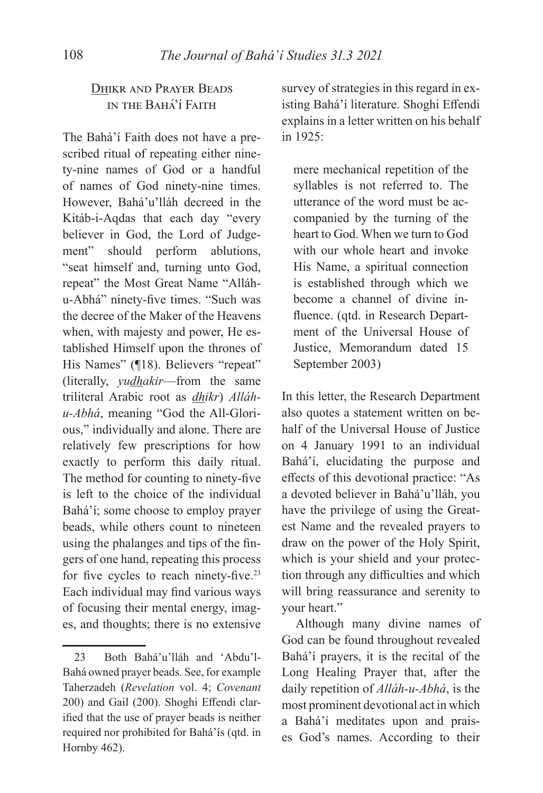# DHIKR AND PRAYER BEADS IN THE BAHA'I FAITH

The Bahá'í Faith does not have a prescribed ritual of repeating either ninety-nine names of God or a handful of names of God ninety-nine times. However, Bahá'u'lláh decreed in the Kitáb-i-Aqdas that each day "every believer in God, the Lord of Judgement" should perform ablutions, "seat himself and, turning unto God, repeat" the Most Great Name "Alláhu-Abhá" ninety-five times. "Such was the decree of the Maker of the Heavens when, with majesty and power, He established Himself upon the thrones of His Names" (¶18). Believers "repeat" (literally, *yudhakir*—from the same triliteral Arabic root as *dhikr*) *Alláhu-Abhá*, meaning "God the All-Glorious," individually and alone. There are relatively few prescriptions for how exactly to perform this daily ritual. The method for counting to ninety-five is left to the choice of the individual Bahá'í; some choose to employ prayer beads, while others count to nineteen using the phalanges and tips of the fingers of one hand, repeating this process for five cycles to reach ninety-five.<sup>23</sup> Each individual may find various ways of focusing their mental energy, images, and thoughts; there is no extensive

survey of strategies in this regard in existing Bahá'í literature. Shoghi Effendi explains in a letter written on his behalf in 1925:

mere mechanical repetition of the syllables is not referred to. The utterance of the word must be accompanied by the turning of the heart to God. When we turn to God with our whole heart and invoke His Name, a spiritual connection is established through which we become a channel of divine influence. (qtd. in Research Department of the Universal House of Justice, Memorandum dated 15 September 2003)

In this letter, the Research Department also quotes a statement written on behalf of the Universal House of Justice on 4 January 1991 to an individual Bahá'í, elucidating the purpose and effects of this devotional practice: "As a devoted believer in Bahá'u'lláh, you have the privilege of using the Greatest Name and the revealed prayers to draw on the power of the Holy Spirit, which is your shield and your protection through any difficulties and which will bring reassurance and serenity to your heart."

Although many divine names of God can be found throughout revealed Bahá'í prayers, it is the recital of the Long Healing Prayer that, after the daily repetition of *Alláh-u-Abhá*, is the most prominent devotional act in which a Bahá'í meditates upon and praises God's names. According to their

<sup>23</sup> Both Bahá'u'lláh and 'Abdu'l-Bahá owned prayer beads. See, for example Taherzadeh (*Revelation* vol. 4; *Covenant* 200) and Gail (200). Shoghi Effendi clarified that the use of prayer beads is neither required nor prohibited for Bahá'ís (qtd. in Hornby 462).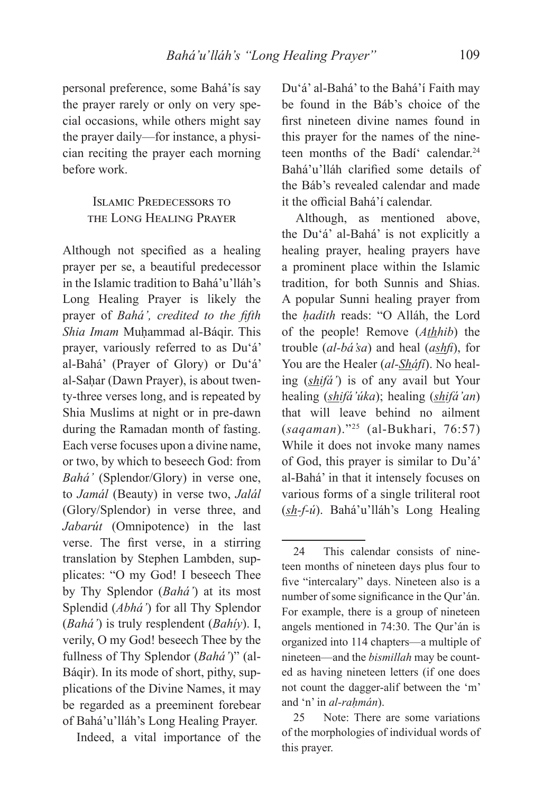personal preference, some Bahá'ís say the prayer rarely or only on very special occasions, while others might say the prayer daily—for instance, a physician reciting the prayer each morning before work.

# **ISLAMIC PREDECESSORS TO** THE LONG HEALING PRAYER

Although not specified as a healing prayer per se, a beautiful predecessor in the Islamic tradition to Bahá'u'lláh's Long Healing Prayer is likely the prayer of *Bahá'*, credited to the fifth *Shia Imam Muhammad al-Báqir. This* prayer, variously referred to as Du'á' al-Bahá' (Prayer of Glory) or Du'á' al-Sahar (Dawn Prayer), is about twenty-three verses long, and is repeated by Shia Muslims at night or in pre-dawn during the Ramadan month of fasting. Each verse focuses upon a divine name, or two, by which to beseech God: from *Bahá'* (Splendor/Glory) in verse one, to *Jamál* (Beauty) in verse two, *Jalál* (Glory/Splendor) in verse three, and *Jabarút* (Omnipotence) in the last verse. The first verse, in a stirring translation by Stephen Lambden, supplicates: "O my God! I beseech Thee by Thy Splendor (*Bahá'*) at its most Splendid (*Abhá'*) for all Thy Splendor (*Bahá'*) is truly resplendent (*Bahíy*). I, verily, O my God! beseech Thee by the fullness of Thy Splendor (*Bahá'*)" (al-Báqir). In its mode of short, pithy, supplications of the Divine Names, it may be regarded as a preeminent forebear of Bahá'u'lláh's Long Healing Prayer.

Indeed, a vital importance of the

Du'á' al-Bahá' to the Bahá'í Faith may be found in the Báb's choice of the first nineteen divine names found in this prayer for the names of the nineteen months of the Badí calendar.<sup>24</sup> Bahá'u'lláh clarified some details of the Báb's revealed calendar and made it the official Bahá'í calendar.

Although, as mentioned above, the Du'á' al-Bahá' is not explicitly a healing prayer, healing prayers have a prominent place within the Islamic tradition, for both Sunnis and Shias. A popular Sunni healing prayer from the *ḥadith* reads: "O Alláh, the Lord of the people! Remove (*Athhib*) the trouble (*al-bá'sa*) and heal (*ashfi*), for You are the Healer (*al-Sháfí*). No healing (*shifá'*) is of any avail but Your healing (*shifá'úka*); healing (*shifá'an*) that will leave behind no ailment (*saqaman*)."25 (al-Bukhari, 76:57) While it does not invoke many names of God, this prayer is similar to Du'á' al-Bahá' in that it intensely focuses on various forms of a single triliteral root (*sh-f-ú*). Bahá'u'lláh's Long Healing

<sup>24</sup> This calendar consists of nineteen months of nineteen days plus four to five "intercalary" days. Nineteen also is a number of some significance in the Qur'án. For example, there is a group of nineteen angels mentioned in 74:30. The Qur'án is organized into 114 chapters—a multiple of nineteen—and the *bismillah* may be counted as having nineteen letters (if one does not count the dagger-alif between the 'm' and 'n' in *al-rahmán*).

<sup>25</sup> Note: There are some variations of the morphologies of individual words of this prayer.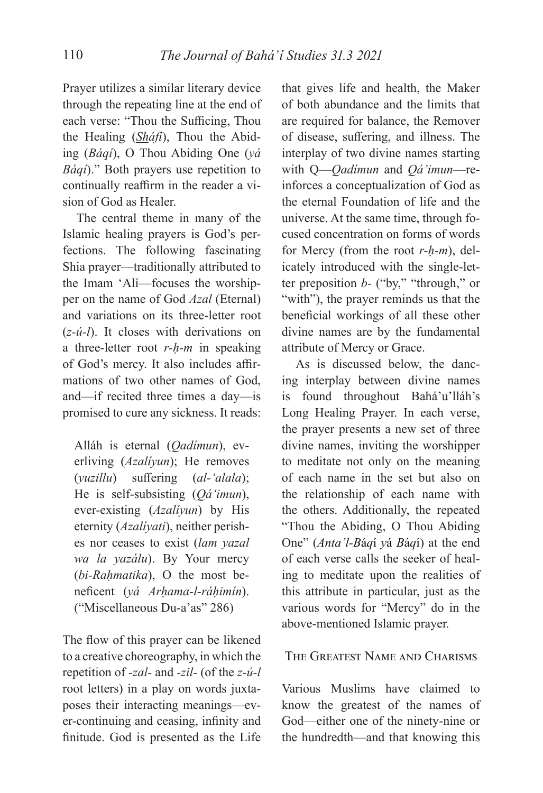Prayer utilizes a similar literary device through the repeating line at the end of each verse: "Thou the Sufficing, Thou the Healing (*Sháfí*), Thou the Abiding (*Báqí*), O Thou Abiding One (*yá Báqí*)." Both prayers use repetition to continually reaffirm in the reader a vision of God as Healer.

The central theme in many of the Islamic healing prayers is God's perfections. The following fascinating Shia prayer—traditionally attributed to the Imam 'Alí—focuses the worshipper on the name of God *Azal* (Eternal) and variations on its three-letter root (*z-ú-l*). It closes with derivations on a three-letter root *r-ḥ-m* in speaking of God's mercy. It also includes affirmations of two other names of God, and—if recited three times a day—is promised to cure any sickness. It reads:

Alláh is eternal (*Qadímun*), everliving (*Azalíyun*); He removes (*yuzillu*) suffering (*al-'alala*); He is self-subsisting (*Qá'imun*), ever-existing (*Azalíyun*) by His eternity (*Azalíyati*), neither perishes nor ceases to exist (*lam yazal wa la yazálu*). By Your mercy (*bi-Raḥmatika*), O the most benefi cent (*yá Arḥama-l-ráḥimín*). ("Miscellaneous Du-a'as" 286)

The flow of this prayer can be likened to a creative choreography, in which the repetition of *-zal-* and *-zil-* (of the *z-ú-l*  root letters) in a play on words juxtaposes their interacting meanings—ever-continuing and ceasing, infinity and finitude. God is presented as the Life

that gives life and health, the Maker of both abundance and the limits that are required for balance, the Remover of disease, suffering, and illness. The interplay of two divine names starting with Q—*Qadímun* and *Qá'imun*—reinforces a conceptualization of God as the eternal Foundation of life and the universe. At the same time, through focused concentration on forms of words for Mercy (from the root *r-ḥ-m*), delicately introduced with the single-letter preposition *b-* ("by," "through," or "with"), the prayer reminds us that the beneficial workings of all these other divine names are by the fundamental attribute of Mercy or Grace.

As is discussed below, the dancing interplay between divine names is found throughout Bahá'u'lláh's Long Healing Prayer. In each verse, the prayer presents a new set of three divine names, inviting the worshipper to meditate not only on the meaning of each name in the set but also on the relationship of each name with the others. Additionally, the repeated "Thou the Abiding, O Thou Abiding One" (*Anta'l-B*á*q*í *y*á *B*á*q*í) at the end of each verse calls the seeker of healing to meditate upon the realities of this attribute in particular, just as the various words for "Mercy" do in the above-mentioned Islamic prayer.

### THE GREATEST NAME AND CHARISMS

Various Muslims have claimed to know the greatest of the names of God—either one of the ninety-nine or the hundredth—and that knowing this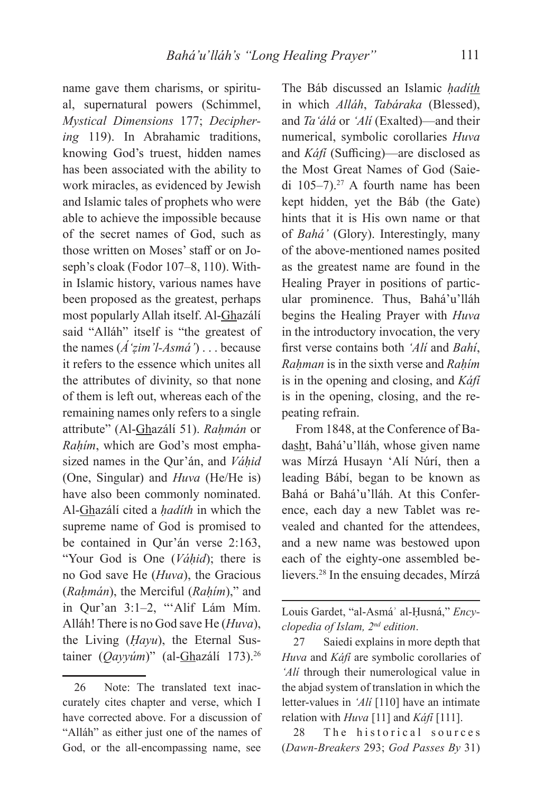name gave them charisms, or spiritual, supernatural powers (Schimmel, *Mystical Dimensions* 177; *Deciphering* 119). In Abrahamic traditions, knowing God's truest, hidden names has been associated with the ability to work miracles, as evidenced by Jewish and Islamic tales of prophets who were able to achieve the impossible because of the secret names of God, such as those written on Moses' staff or on Joseph's cloak (Fodor 107–8, 110). Within Islamic history, various names have been proposed as the greatest, perhaps most popularly Allah itself. Al-Ghazálí said "Alláh" itself is "the greatest of the names (*Á'ẓim'l-Asmá'*) . . . because it refers to the essence which unites all the attributes of divinity, so that none of them is left out, whereas each of the remaining names only refers to a single attribute" (Al-Ghazálí 51). *Raḥmán* or *Raḥím*, which are God's most emphasized names in the Qur'án, and *Váḥid*  (One, Singular) and *Huva* (He/He is) have also been commonly nominated. Al-Ghazálí cited a *ḥadíth* in which the supreme name of God is promised to be contained in Qur'án verse 2:163, "Your God is One (*Váḥid*); there is no God save He (*Huva*), the Gracious (*Raḥmán*), the Merciful (*Raḥím*)," and in Qur'an 3:1–2, "'Alif Lám Mím. Alláh! There is no God save He (*Huva*), the Living (*Ḥayu*), the Eternal Sustainer (*Qayyúm*)" (al-Ghazálí 173).<sup>26</sup>

The Báb discussed an Islamic *ḥadíth* in which *Alláh*, *Tabáraka* (Blessed), and *Ta'álá* or *'Alí* (Exalted)—and their numerical, symbolic corollaries *Huva*  and *Káfi* (Sufficing)—are disclosed as the Most Great Names of God (Saiedi 105–7).27 A fourth name has been kept hidden, yet the Báb (the Gate) hints that it is His own name or that of *Bahá'* (Glory). Interestingly, many of the above-mentioned names posited as the greatest name are found in the Healing Prayer in positions of particular prominence. Thus, Bahá'u'lláh begins the Healing Prayer with *Huva*  in the introductory invocation, the very first verse contains both *'Ali* and *Bahi*, *Raḥman* is in the sixth verse and *Raḥím* is in the opening and closing, and *Káfí*  is in the opening, closing, and the repeating refrain.

From 1848, at the Conference of Badasht, Bahá'u'lláh, whose given name was Mírzá Husayn 'Alí Núrí, then a leading Bábí, began to be known as Bahá or Bahá'u'lláh. At this Conference, each day a new Tablet was revealed and chanted for the attendees, and a new name was bestowed upon each of the eighty-one assembled believers.28 In the ensuing decades, Mírzá

28 The historical sources (*Dawn-Breakers* 293; *God Passes By* 31)

<sup>26</sup> Note: The translated text inaccurately cites chapter and verse, which I have corrected above. For a discussion of "Alláh" as either just one of the names of God, or the all-encompassing name, see

Louis Gardet, "al-Asmáʾ al-Ḥusná," *Encyclopedia of Islam, 2nd edition*.

<sup>27</sup> Saiedi explains in more depth that *Huva* and *Káfí* are symbolic corollaries of *'Alí* through their numerological value in the abjad system of translation in which the letter-values in *'Alí* [110] have an intimate relation with *Huva* [11] and *Káfí* [111].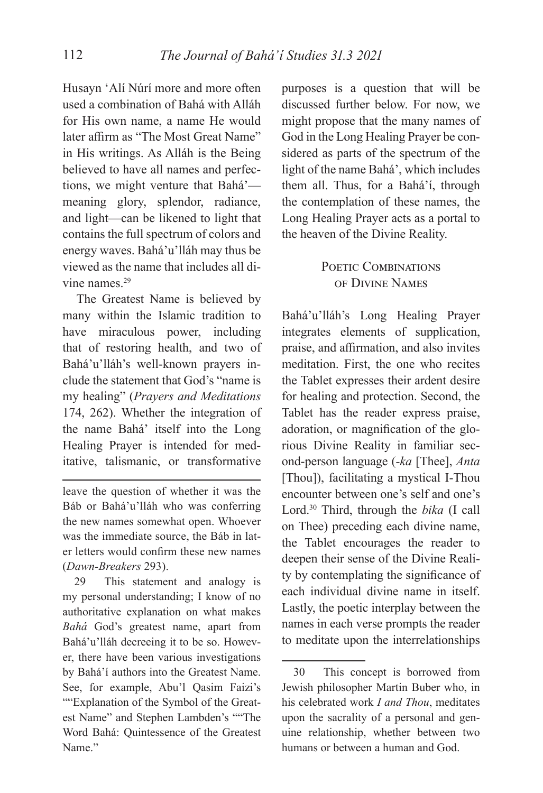Husayn 'Alí Núrí more and more often used a combination of Bahá with Alláh for His own name, a name He would later affirm as "The Most Great Name" in His writings. As Alláh is the Being believed to have all names and perfections, we might venture that Bahá' meaning glory, splendor, radiance, and light—can be likened to light that contains the full spectrum of colors and energy waves. Bahá'u'lláh may thus be viewed as the name that includes all divine names.29

The Greatest Name is believed by many within the Islamic tradition to have miraculous power, including that of restoring health, and two of Bahá'u'lláh's well-known prayers include the statement that God's "name is my healing" (*Prayers and Meditations*  174, 262). Whether the integration of the name Bahá' itself into the Long Healing Prayer is intended for meditative, talismanic, or transformative

leave the question of whether it was the Báb or Bahá'u'lláh who was conferring the new names somewhat open. Whoever was the immediate source, the Báb in later letters would confirm these new names (*Dawn-Breakers* 293).

29 This statement and analogy is my personal understanding; I know of no authoritative explanation on what makes *Bahá* God's greatest name, apart from Bahá'u'lláh decreeing it to be so. However, there have been various investigations by Bahá'í authors into the Greatest Name. See, for example, Abu'l Qasim Faizi's ""Explanation of the Symbol of the Greatest Name" and Stephen Lambden's ""The Word Bahá: Quintessence of the Greatest Name."

purposes is a question that will be discussed further below. For now, we might propose that the many names of God in the Long Healing Prayer be considered as parts of the spectrum of the light of the name Bahá', which includes them all. Thus, for a Bahá'í, through the contemplation of these names, the Long Healing Prayer acts as a portal to the heaven of the Divine Reality.

# POETIC COMBINATIONS OF DIVINE NAMES

Bahá'u'lláh's Long Healing Prayer integrates elements of supplication, praise, and affirmation, and also invites meditation. First, the one who recites the Tablet expresses their ardent desire for healing and protection. Second, the Tablet has the reader express praise, adoration, or magnification of the glorious Divine Reality in familiar second-person language (*-ka* [Thee], *Anta*  [Thou]), facilitating a mystical I-Thou encounter between one's self and one's Lord.30 Third, through the *bika* (I call on Thee) preceding each divine name, the Tablet encourages the reader to deepen their sense of the Divine Reality by contemplating the significance of each individual divine name in itself. Lastly, the poetic interplay between the names in each verse prompts the reader to meditate upon the interrelationships

<sup>30</sup> This concept is borrowed from Jewish philosopher Martin Buber who, in his celebrated work *I and Thou*, meditates upon the sacrality of a personal and genuine relationship, whether between two humans or between a human and God.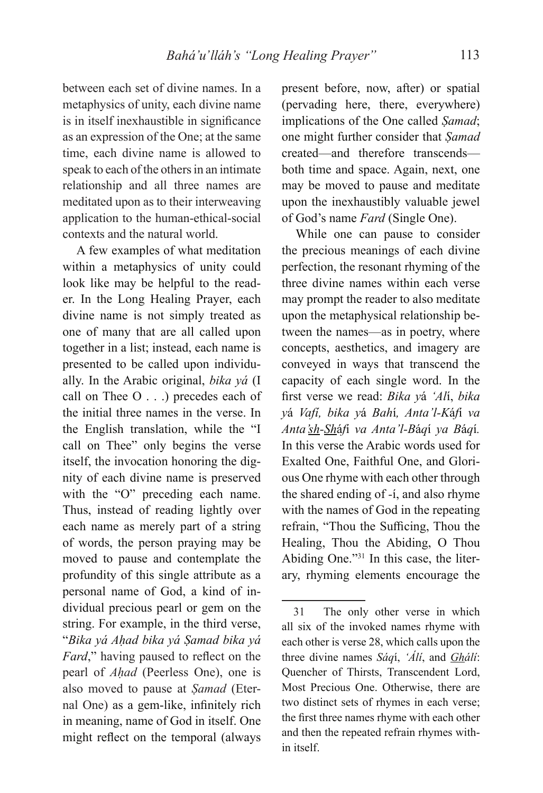between each set of divine names. In a metaphysics of unity, each divine name is in itself inexhaustible in significance as an expression of the One; at the same time, each divine name is allowed to speak to each of the others in an intimate relationship and all three names are meditated upon as to their interweaving application to the human-ethical-social contexts and the natural world.

A few examples of what meditation within a metaphysics of unity could look like may be helpful to the reader. In the Long Healing Prayer, each divine name is not simply treated as one of many that are all called upon together in a list; instead, each name is presented to be called upon individually. In the Arabic original, *bika yá* (I call on Thee O . . .) precedes each of the initial three names in the verse. In the English translation, while the "I call on Thee" only begins the verse itself, the invocation honoring the dignity of each divine name is preserved with the "O" preceding each name. Thus, instead of reading lightly over each name as merely part of a string of words, the person praying may be moved to pause and contemplate the profundity of this single attribute as a personal name of God, a kind of individual precious pearl or gem on the string. For example, in the third verse, "*Bika yá Aḥad bika yá Ṣamad bika yá Fard*," having paused to reflect on the pearl of *Aḥad* (Peerless One), one is also moved to pause at *Ṣamad* (Eternal One) as a gem-like, infinitely rich in meaning, name of God in itself. One might reflect on the temporal (always

present before, now, after) or spatial (pervading here, there, everywhere) implications of the One called *Ṣamad*; one might further consider that *Ṣamad*  created—and therefore transcends both time and space. Again, next, one may be moved to pause and meditate upon the inexhaustibly valuable jewel of God's name *Fard* (Single One).

While one can pause to consider the precious meanings of each divine perfection, the resonant rhyming of the three divine names within each verse may prompt the reader to also meditate upon the metaphysical relationship between the names—as in poetry, where concepts, aesthetics, and imagery are conveyed in ways that transcend the capacity of each single word. In the fi rst verse we read: *Bika y*á *'Al*í, *bika y*á *Vafí, bika y*á *Bah*í*, Anta'l-K*á*f*í *va Anta'sh-Sh*á*f*í *va Anta'l-B*á*q*í *ya B*á*q*í*.* In this verse the Arabic words used for Exalted One, Faithful One, and Glorious One rhyme with each other through the shared ending of *-*í, and also rhyme with the names of God in the repeating refrain, "Thou the Sufficing, Thou the Healing, Thou the Abiding, O Thou Abiding One."31 In this case, the literary, rhyming elements encourage the

<sup>31</sup> The only other verse in which all six of the invoked names rhyme with each other is verse 28, which calls upon the three divine names *Sáq*í, *'Álí*, and *Ghálí*: Quencher of Thirsts, Transcendent Lord, Most Precious One. Otherwise, there are two distinct sets of rhymes in each verse; the first three names rhyme with each other and then the repeated refrain rhymes within itself.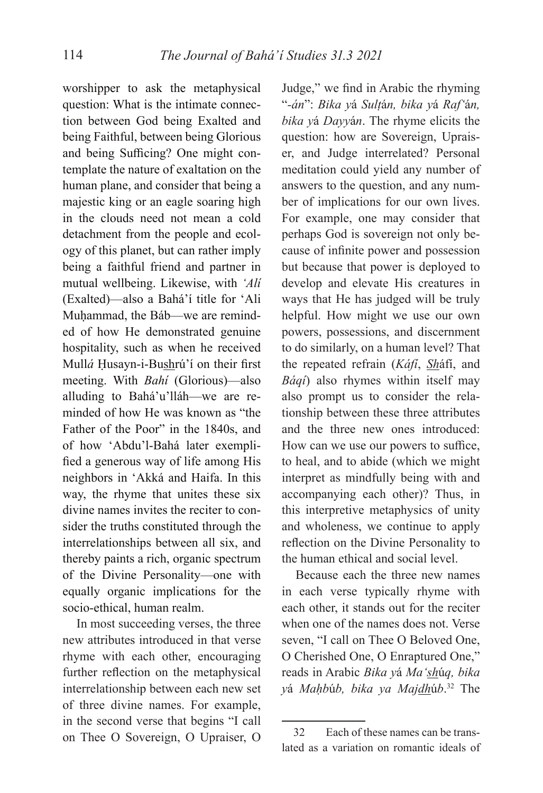worshipper to ask the metaphysical question: What is the intimate connection between God being Exalted and being Faithful, between being Glorious and being Sufficing? One might contemplate the nature of exaltation on the human plane, and consider that being a majestic king or an eagle soaring high in the clouds need not mean a cold detachment from the people and ecology of this planet, but can rather imply being a faithful friend and partner in mutual wellbeing. Likewise, with *'Alí* (Exalted)—also a Bahá'í title for 'Ali Muhammad, the Báb—we are reminded of how He demonstrated genuine hospitality, such as when he received Mullá Husayn-i-Bushrú'í on their first meeting. With *Bahí* (Glorious)—also alluding to Bahá'u'lláh—we are reminded of how He was known as "the Father of the Poor" in the 1840s, and of how 'Abdu'l-Bahá later exemplified a generous way of life among His neighbors in 'Akká and Haifa. In this way, the rhyme that unites these six divine names invites the reciter to consider the truths constituted through the interrelationships between all six, and thereby paints a rich, organic spectrum of the Divine Personality—one with equally organic implications for the socio-ethical, human realm.

In most succeeding verses, the three new attributes introduced in that verse rhyme with each other, encouraging further reflection on the metaphysical interrelationship between each new set of three divine names. For example, in the second verse that begins "I call on Thee O Sovereign, O Upraiser, O

Judge," we find in Arabic the rhyming "*-án*": *Bika y*á *Sulṭ*á*n, bika y*á *Raf'*á*n, bika y*á *Dayy*á*n*. The rhyme elicits the question: how are Sovereign, Upraiser, and Judge interrelated? Personal meditation could yield any number of answers to the question, and any number of implications for our own lives. For example, one may consider that perhaps God is sovereign not only because of infinite power and possession but because that power is deployed to develop and elevate His creatures in ways that He has judged will be truly helpful. How might we use our own powers, possessions, and discernment to do similarly, on a human level? That the repeated refrain (*Káfí*, *Sh*áfí, and *Báqí*) also rhymes within itself may also prompt us to consider the relationship between these three attributes and the three new ones introduced: How can we use our powers to suffice, to heal, and to abide (which we might interpret as mindfully being with and accompanying each other)? Thus, in this interpretive metaphysics of unity and wholeness, we continue to apply reflection on the Divine Personality to the human ethical and social level.

Because each the three new names in each verse typically rhyme with each other, it stands out for the reciter when one of the names does not. Verse seven, "I call on Thee O Beloved One, O Cherished One, O Enraptured One," reads in Arabic *Bika y*á *Ma'sh*ú*q, bika y*á *Maḥb*ú*b, bika ya Majdh*ú*b*. 32 The

<sup>32</sup> Each of these names can be translated as a variation on romantic ideals of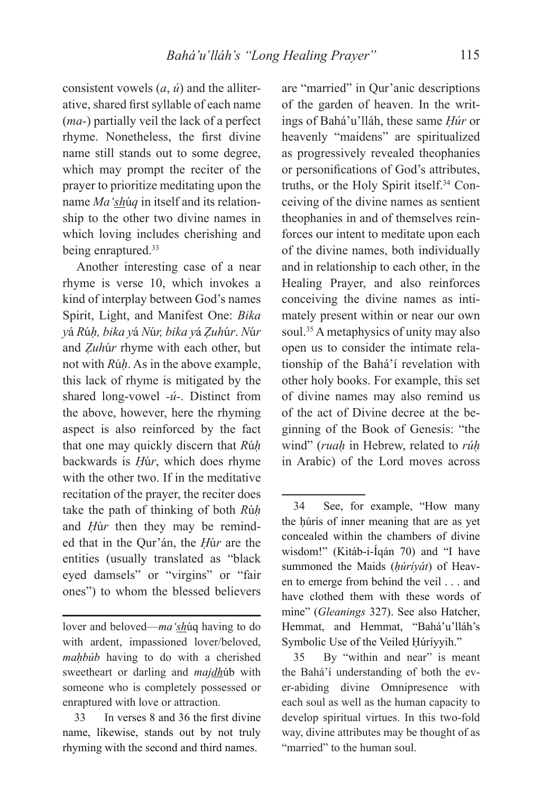consistent vowels (*a*, *ú*) and the alliterative, shared first syllable of each name (*ma-*) partially veil the lack of a perfect rhyme. Nonetheless, the first divine name still stands out to some degree, which may prompt the reciter of the prayer to prioritize meditating upon the name *Ma'sh*ú*q* in itself and its relationship to the other two divine names in which loving includes cherishing and being enraptured.<sup>33</sup>

Another interesting case of a near rhyme is verse 10, which invokes a kind of interplay between God's names Spirit, Light, and Manifest One: *Bika y*á *R*ú*ḥ, bika y*á *N*ú*r, bika y*á *Ẓuh*ú*r*. *N*ú*r* and *Ẓuh*ú*r* rhyme with each other, but not with *R*ú*ḥ*. As in the above example, this lack of rhyme is mitigated by the shared long-vowel *-ú-*. Distinct from the above, however, here the rhyming aspect is also reinforced by the fact that one may quickly discern that *R*ú*ḥ* backwards is *Ḥ*ú*r*, which does rhyme with the other two. If in the meditative recitation of the prayer, the reciter does take the path of thinking of both *R*ú*ḥ* and *Ḥ*ú*r* then they may be reminded that in the Qur'án, the *Ḥ*ú*r* are the entities (usually translated as "black eyed damsels" or "virgins" or "fair ones") to whom the blessed believers are "married" in Qur'anic descriptions of the garden of heaven. In the writings of Bahá'u'lláh, these same *Ḥúr* or heavenly "maidens" are spiritualized as progressively revealed theophanies or personifications of God's attributes, truths, or the Holy Spirit itself.34 Conceiving of the divine names as sentient theophanies in and of themselves reinforces our intent to meditate upon each of the divine names, both individually and in relationship to each other, in the Healing Prayer, and also reinforces conceiving the divine names as intimately present within or near our own soul.<sup>35</sup> A metaphysics of unity may also open us to consider the intimate relationship of the Bahá'í revelation with other holy books. For example, this set of divine names may also remind us of the act of Divine decree at the beginning of the Book of Genesis: "the wind" (*ruaḥ* in Hebrew, related to *rúḥ* in Arabic) of the Lord moves across

lover and beloved—*ma'sh*úq having to do with ardent, impassioned lover/beloved, *maḥbúb* having to do with a cherished sweetheart or darling and *majdh*úb with someone who is completely possessed or enraptured with love or attraction.

<sup>33</sup> In verses 8 and 36 the first divine name, likewise, stands out by not truly rhyming with the second and third names.

<sup>34</sup> See, for example, "How many the húrís of inner meaning that are as yet concealed within the chambers of divine wisdom!" (Kitáb-i-Íqán 70) and "I have summoned the Maids (*ḥúríyát*) of Heaven to emerge from behind the veil . . . and have clothed them with these words of mine" (*Gleanings* 327). See also Hatcher, Hemmat, and Hemmat, "Bahá'u'lláh's Symbolic Use of the Veiled Ḥúríyyih."

<sup>35</sup> By "within and near" is meant the Bahá'í understanding of both the ever-abiding divine Omnipresence with each soul as well as the human capacity to develop spiritual virtues. In this two-fold way, divine attributes may be thought of as "married" to the human soul.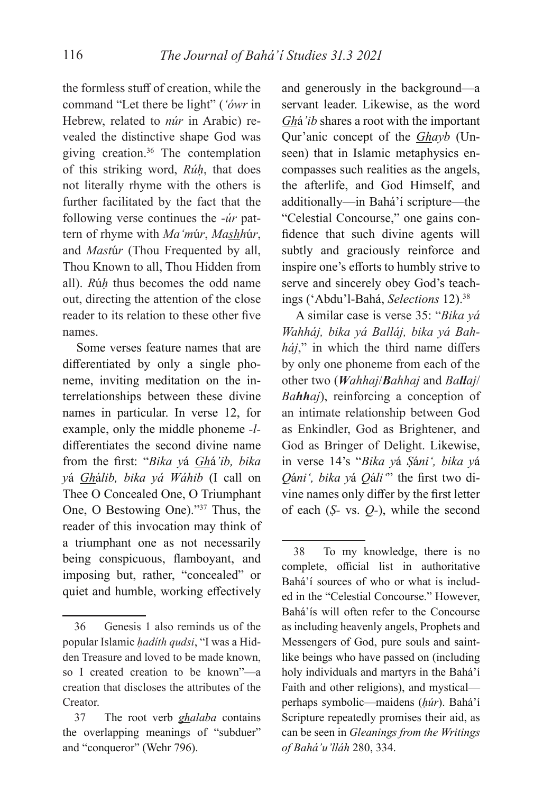the formless stuff of creation, while the command "Let there be light" (*'ówr* in Hebrew, related to *núr* in Arabic) revealed the distinctive shape God was giving creation.36 The contemplation of this striking word, *Rúḥ*, that does not literally rhyme with the others is further facilitated by the fact that the following verse continues the -*úr* pattern of rhyme with *Ma'm*ú*r*, *Mashh*ú*r*, and *Mast*ú*r* (Thou Frequented by all, Thou Known to all, Thou Hidden from all). *R*ú*ḥ* thus becomes the odd name out, directing the attention of the close reader to its relation to these other five names.

Some verses feature names that are differentiated by only a single phoneme, inviting meditation on the interrelationships between these divine names in particular. In verse 12, for example, only the middle phoneme *-l*differentiates the second divine name from the fi rst: "*Bika y*á *Gh*á*'ib, bika y*á *Gh*á*lib, bika yá Wáhib* (I call on Thee O Concealed One, O Triumphant One, O Bestowing One)."37 Thus, the reader of this invocation may think of a triumphant one as not necessarily being conspicuous, flamboyant, and imposing but, rather, "concealed" or quiet and humble, working effectively

and generously in the background—a servant leader. Likewise, as the word *Gh*á*'ib* shares a root with the important Qur'anic concept of the *Ghayb* (Unseen) that in Islamic metaphysics encompasses such realities as the angels, the afterlife, and God Himself, and additionally—in Bahá'í scripture—the "Celestial Concourse," one gains confidence that such divine agents will subtly and graciously reinforce and inspire one's efforts to humbly strive to serve and sincerely obey God's teachings ('Abdu'l-Bahá, *Selections* 12).38

A similar case is verse 35: "*Bika yá Wahháj, bika yá Balláj, bika yá Bah* $háj$ ," in which the third name differs by only one phoneme from each of the other two (*Wahhaj*/*Bahhaj* and *Ballaj*/ *Bahhaj*), reinforcing a conception of an intimate relationship between God as Enkindler, God as Brightener, and God as Bringer of Delight. Likewise, in verse 14's "*Bika y*á *Ṣ*á*ni', bika y*á *Qáni'*, *bika yá Qáli*<sup>"</sup> the first two divine names only differ by the first letter of each (*Ṣ-* vs. *Q-*), while the second

<sup>36</sup> Genesis 1 also reminds us of the popular Islamic *ḥadíth qudsi*, "I was a Hidden Treasure and loved to be made known, so I created creation to be known"—a creation that discloses the attributes of the Creator.

<sup>37</sup> The root verb *ghalaba* contains the overlapping meanings of "subduer" and "conqueror" (Wehr 796).

<sup>38</sup> To my knowledge, there is no complete, official list in authoritative Bahá'í sources of who or what is included in the "Celestial Concourse." However, Bahá'ís will often refer to the Concourse as including heavenly angels, Prophets and Messengers of God, pure souls and saintlike beings who have passed on (including holy individuals and martyrs in the Bahá'í Faith and other religions), and mystical perhaps symbolic—maidens (*ḥúr*). Bahá'í Scripture repeatedly promises their aid, as can be seen in *Gleanings from the Writings of Bahá'u'lláh* 280, 334.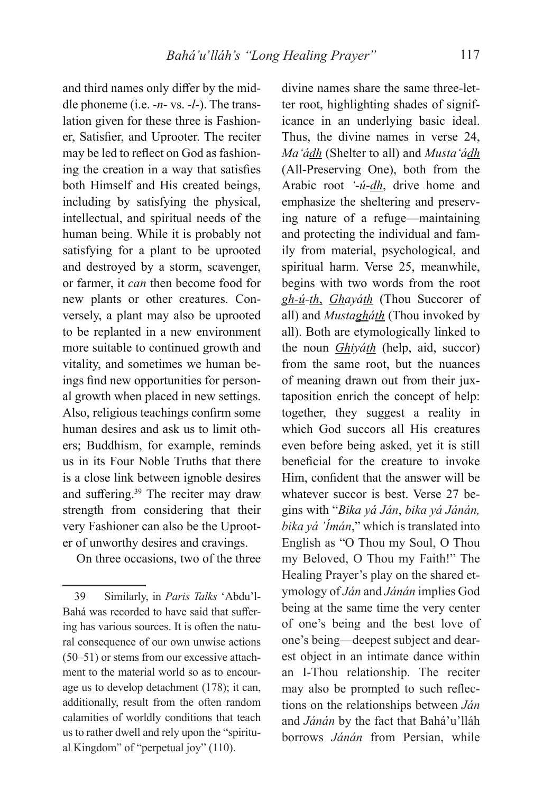and third names only differ by the middle phoneme (i.e. *-n-* vs. *-l-*). The translation given for these three is Fashioner, Satisfier, and Uprooter. The reciter may be led to reflect on God as fashioning the creation in a way that satisfies both Himself and His created beings, including by satisfying the physical, intellectual, and spiritual needs of the human being. While it is probably not satisfying for a plant to be uprooted and destroyed by a storm, scavenger, or farmer, it *can* then become food for new plants or other creatures. Conversely, a plant may also be uprooted to be replanted in a new environment more suitable to continued growth and vitality, and sometimes we human beings find new opportunities for personal growth when placed in new settings. Also, religious teachings confirm some human desires and ask us to limit others; Buddhism, for example, reminds us in its Four Noble Truths that there is a close link between ignoble desires and suffering.<sup>39</sup> The reciter may draw strength from considering that their very Fashioner can also be the Uprooter of unworthy desires and cravings.

On three occasions, two of the three

divine names share the same three-letter root, highlighting shades of significance in an underlying basic ideal. Thus, the divine names in verse 24, *Ma'ádh* (Shelter to all) and *Musta'ádh*  (All-Preserving One), both from the Arabic root *'*-*ú*-*dh*, drive home and emphasize the sheltering and preserving nature of a refuge—maintaining and protecting the individual and family from material, psychological, and spiritual harm. Verse 25, meanwhile, begins with two words from the root *gh-ú-th*, *Ghayáth* (Thou Succorer of all) and *Mustagháth* (Thou invoked by all). Both are etymologically linked to the noun *Ghiyáth* (help, aid, succor) from the same root, but the nuances of meaning drawn out from their juxtaposition enrich the concept of help: together, they suggest a reality in which God succors all His creatures even before being asked, yet it is still beneficial for the creature to invoke Him, confident that the answer will be whatever succor is best. Verse 27 begins with "*Bika yá Ján*, *bika yá Jánán, bika yá 'Ímán*," which is translated into English as "O Thou my Soul, O Thou my Beloved, O Thou my Faith!" The Healing Prayer's play on the shared etymology of *Ján* and *Jánán* implies God being at the same time the very center of one's being and the best love of one's being—deepest subject and dearest object in an intimate dance within an I-Thou relationship. The reciter may also be prompted to such reflections on the relationships between *Ján* and *Jánán* by the fact that Bahá'u'lláh borrows *Jánán* from Persian, while

<sup>39</sup> Similarly, in *Paris Talks* 'Abdu'l-Bahá was recorded to have said that suffering has various sources. It is often the natural consequence of our own unwise actions (50–51) or stems from our excessive attachment to the material world so as to encourage us to develop detachment (178); it can, additionally, result from the often random calamities of worldly conditions that teach us to rather dwell and rely upon the "spiritual Kingdom" of "perpetual joy" (110).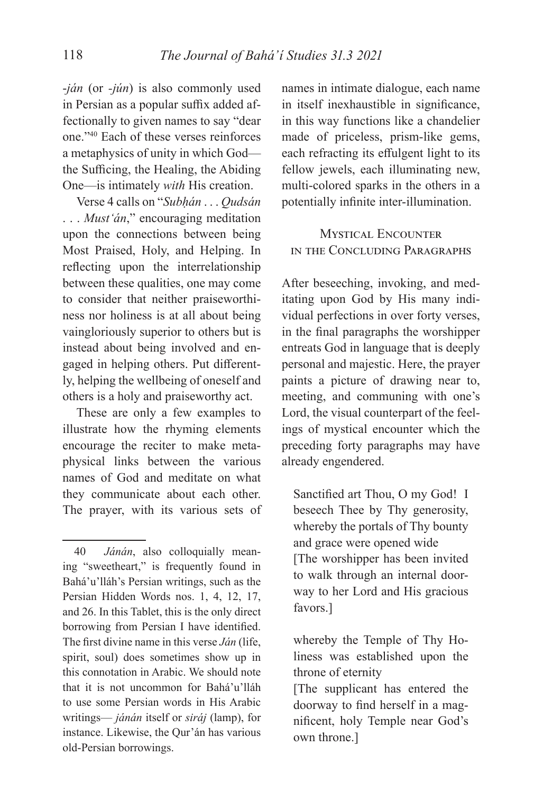-*ján* (or *-jún*) is also commonly used in Persian as a popular suffix added affectionally to given names to say "dear one."40 Each of these verses reinforces a metaphysics of unity in which God the Sufficing, the Healing, the Abiding One—is intimately *with* His creation.

Verse 4 calls on "*Subḥán* . . . *Qudsán* . . . *Must'án*," encouraging meditation upon the connections between being Most Praised, Holy, and Helping. In reflecting upon the interrelationship between these qualities, one may come to consider that neither praiseworthiness nor holiness is at all about being vaingloriously superior to others but is instead about being involved and engaged in helping others. Put differently, helping the wellbeing of oneself and others is a holy and praiseworthy act.

These are only a few examples to illustrate how the rhyming elements encourage the reciter to make metaphysical links between the various names of God and meditate on what they communicate about each other. The prayer, with its various sets of

names in intimate dialogue, each name in itself inexhaustible in significance, in this way functions like a chandelier made of priceless, prism-like gems, each refracting its effulgent light to its fellow jewels, each illuminating new, multi-colored sparks in the others in a potentially infinite inter-illumination.

# **MYSTICAL ENCOUNTER** IN THE CONCLUDING PARAGRAPHS

After beseeching, invoking, and meditating upon God by His many individual perfections in over forty verses, in the final paragraphs the worshipper entreats God in language that is deeply personal and majestic. Here, the prayer paints a picture of drawing near to, meeting, and communing with one's Lord, the visual counterpart of the feelings of mystical encounter which the preceding forty paragraphs may have already engendered.

Sanctified art Thou, O my God! I beseech Thee by Thy generosity, whereby the portals of Thy bounty and grace were opened wide [The worshipper has been invited to walk through an internal doorway to her Lord and His gracious favors.]

whereby the Temple of Thy Holiness was established upon the throne of eternity

[The supplicant has entered the doorway to find herself in a magnificent, holy Temple near God's own throne.]

<sup>40</sup> *Jánán*, also colloquially meaning "sweetheart," is frequently found in Bahá'u'lláh's Persian writings, such as the Persian Hidden Words nos. 1, 4, 12, 17, and 26. In this Tablet, this is the only direct borrowing from Persian I have identified. The first divine name in this verse *Ján* (life, spirit, soul) does sometimes show up in this connotation in Arabic. We should note that it is not uncommon for Bahá'u'lláh to use some Persian words in His Arabic writings— *jánán* itself or *siráj* (lamp), for instance. Likewise, the Qur'án has various old-Persian borrowings.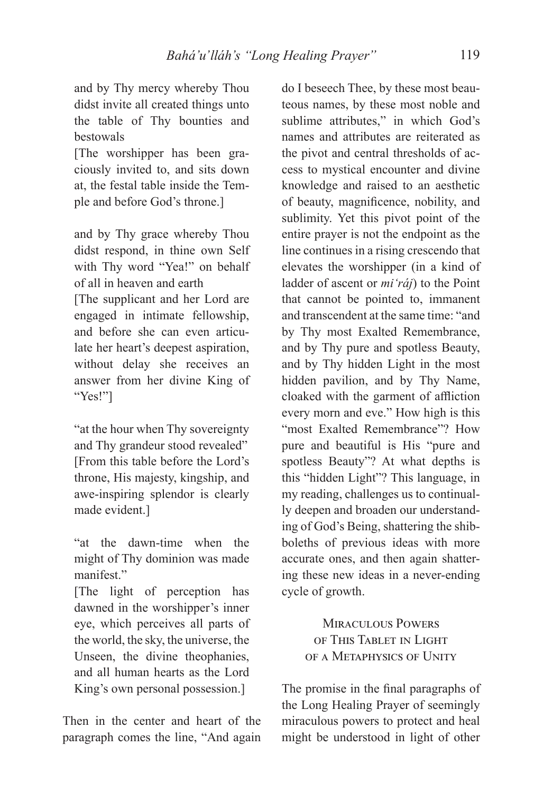and by Thy mercy whereby Thou didst invite all created things unto the table of Thy bounties and bestowals

[The worshipper has been graciously invited to, and sits down at, the festal table inside the Temple and before God's throne.]

and by Thy grace whereby Thou didst respond, in thine own Self with Thy word "Yea!" on behalf of all in heaven and earth [The supplicant and her Lord are engaged in intimate fellowship, and before she can even articulate her heart's deepest aspiration, without delay she receives an answer from her divine King of "Yes!"]

"at the hour when Thy sovereignty and Thy grandeur stood revealed" [From this table before the Lord's throne, His majesty, kingship, and awe-inspiring splendor is clearly made evident.]

"at the dawn-time when the might of Thy dominion was made manifest."

[The light of perception has dawned in the worshipper's inner eye, which perceives all parts of the world, the sky, the universe, the Unseen, the divine theophanies, and all human hearts as the Lord King's own personal possession.]

Then in the center and heart of the paragraph comes the line, "And again

do I beseech Thee, by these most beauteous names, by these most noble and sublime attributes," in which God's names and attributes are reiterated as the pivot and central thresholds of access to mystical encounter and divine knowledge and raised to an aesthetic of beauty, magnificence, nobility, and sublimity. Yet this pivot point of the entire prayer is not the endpoint as the line continues in a rising crescendo that elevates the worshipper (in a kind of ladder of ascent or *mi'ráj*) to the Point that cannot be pointed to, immanent and transcendent at the same time: "and by Thy most Exalted Remembrance, and by Thy pure and spotless Beauty, and by Thy hidden Light in the most hidden pavilion, and by Thy Name, cloaked with the garment of affliction every morn and eve." How high is this "most Exalted Remembrance"? How pure and beautiful is His "pure and spotless Beauty"? At what depths is this "hidden Light"? This language, in my reading, challenges us to continually deepen and broaden our understanding of God's Being, shattering the shibboleths of previous ideas with more accurate ones, and then again shattering these new ideas in a never-ending cycle of growth.

> MIRACULOUS POWERS OF THIS TABLET IN LIGHT OF A METAPHYSICS OF UNITY

The promise in the final paragraphs of the Long Healing Prayer of seemingly miraculous powers to protect and heal might be understood in light of other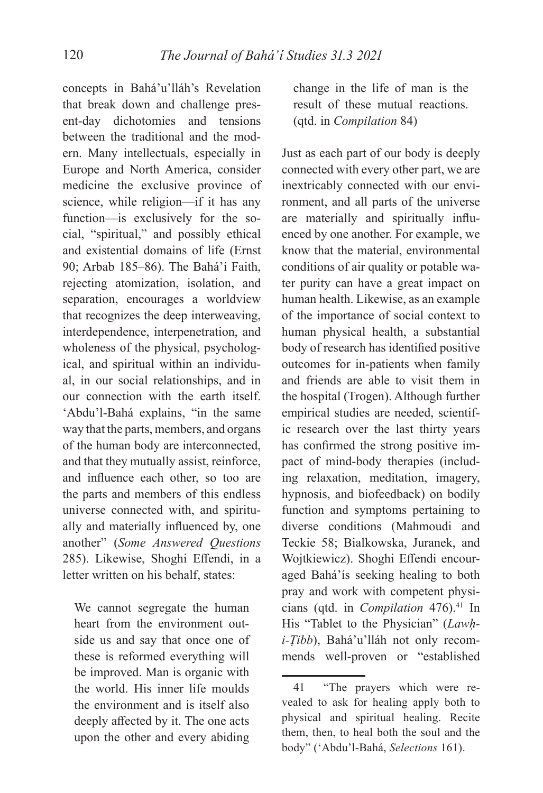concepts in Bahá'u'lláh's Revelation that break down and challenge present-day dichotomies and tensions between the traditional and the modern. Many intellectuals, especially in Europe and North America, consider medicine the exclusive province of science, while religion—if it has any function—is exclusively for the social, "spiritual," and possibly ethical and existential domains of life (Ernst 90; Arbab 185–86). The Bahá'í Faith, rejecting atomization, isolation, and separation, encourages a worldview that recognizes the deep interweaving, interdependence, interpenetration, and wholeness of the physical, psychological, and spiritual within an individual, in our social relationships, and in our connection with the earth itself. 'Abdu'l-Bahá explains, "in the same way that the parts, members, and organs of the human body are interconnected, and that they mutually assist, reinforce, and influence each other, so too are the parts and members of this endless universe connected with, and spiritually and materially influenced by, one another" (*Some Answered Questions*  285). Likewise, Shoghi Effendi, in a letter written on his behalf, states:

We cannot segregate the human heart from the environment outside us and say that once one of these is reformed everything will be improved. Man is organic with the world. His inner life moulds the environment and is itself also deeply affected by it. The one acts upon the other and every abiding change in the life of man is the result of these mutual reactions. (qtd. in *Compilation* 84)

Just as each part of our body is deeply connected with every other part, we are inextricably connected with our environment, and all parts of the universe are materially and spiritually influenced by one another. For example, we know that the material, environmental conditions of air quality or potable water purity can have a great impact on human health. Likewise, as an example of the importance of social context to human physical health, a substantial body of research has identified positive outcomes for in-patients when family and friends are able to visit them in the hospital (Trogen). Although further empirical studies are needed, scientific research over the last thirty years has confirmed the strong positive impact of mind-body therapies (including relaxation, meditation, imagery, hypnosis, and biofeedback) on bodily function and symptoms pertaining to diverse conditions (Mahmoudi and Teckie 58; Bialkowska, Juranek, and Wojtkiewicz). Shoghi Effendi encouraged Bahá'ís seeking healing to both pray and work with competent physicians (qtd. in *Compilation* 476).<sup>41</sup> In His "Tablet to the Physician" (*Lawḥi-Ṭibb*), Bahá'u'lláh not only recommends well-proven or "established

<sup>41 &</sup>quot;The prayers which were revealed to ask for healing apply both to physical and spiritual healing. Recite them, then, to heal both the soul and the body" ('Abdu'l-Bahá, *Selections* 161).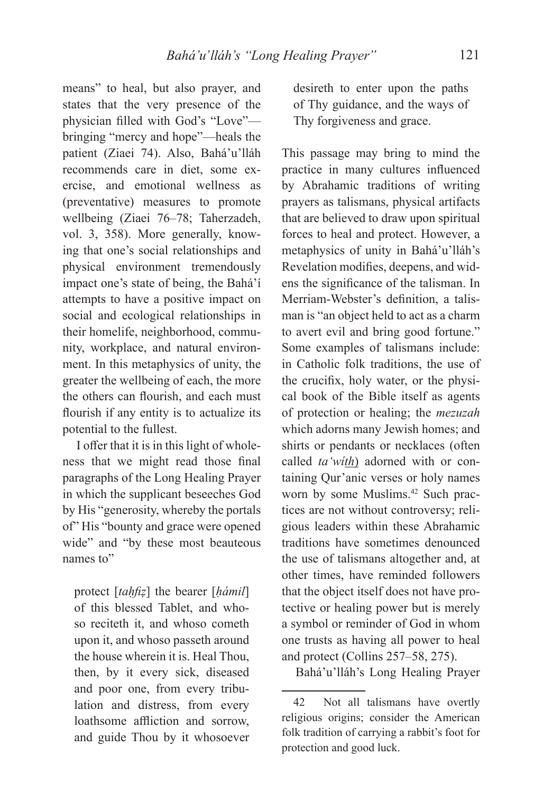means" to heal, but also prayer, and states that the very presence of the physician filled with God's "Love"bringing "mercy and hope"—heals the patient (Ziaei 74). Also, Bahá'u'lláh recommends care in diet, some exercise, and emotional wellness as (preventative) measures to promote wellbeing (Ziaei 76–78; Taherzadeh, vol. 3, 358). More generally, knowing that one's social relationships and physical environment tremendously impact one's state of being, the Bahá'í attempts to have a positive impact on social and ecological relationships in their homelife, neighborhood, community, workplace, and natural environment. In this metaphysics of unity, the greater the wellbeing of each, the more the others can flourish, and each must flourish if any entity is to actualize its potential to the fullest.

I offer that it is in this light of wholeness that we might read those final paragraphs of the Long Healing Prayer in which the supplicant beseeches God by His "generosity, whereby the portals of" His "bounty and grace were opened wide" and "by these most beauteous names to"

protect [*taḥfiẓ*] the bearer [*ḥámil*] of this blessed Tablet, and whoso reciteth it, and whoso cometh upon it, and whoso passeth around the house wherein it is. Heal Thou, then, by it every sick, diseased and poor one, from every tribulation and distress, from every loathsome affliction and sorrow, and guide Thou by it whosoever desireth to enter upon the paths of Thy guidance, and the ways of Thy forgiveness and grace.

This passage may bring to mind the practice in many cultures influenced by Abrahamic traditions of writing prayers as talismans, physical artifacts that are believed to draw upon spiritual forces to heal and protect. However, a metaphysics of unity in Bahá'u'lláh's Revelation modifies, deepens, and widens the significance of the talisman. In Merriam-Webster's definition, a talisman is "an object held to act as a charm to avert evil and bring good fortune." Some examples of talismans include: in Catholic folk traditions, the use of the crucifix, holy water, or the physical book of the Bible itself as agents of protection or healing; the *mezuzah* which adorns many Jewish homes; and shirts or pendants or necklaces (often called *ta'wíth*) adorned with or containing Qur'anic verses or holy names worn by some Muslims.<sup>42</sup> Such practices are not without controversy; religious leaders within these Abrahamic traditions have sometimes denounced the use of talismans altogether and, at other times, have reminded followers that the object itself does not have protective or healing power but is merely a symbol or reminder of God in whom one trusts as having all power to heal and protect (Collins 257–58, 275).

Bahá'u'lláh's Long Healing Prayer

<sup>42</sup> Not all talismans have overtly religious origins; consider the American folk tradition of carrying a rabbit's foot for protection and good luck.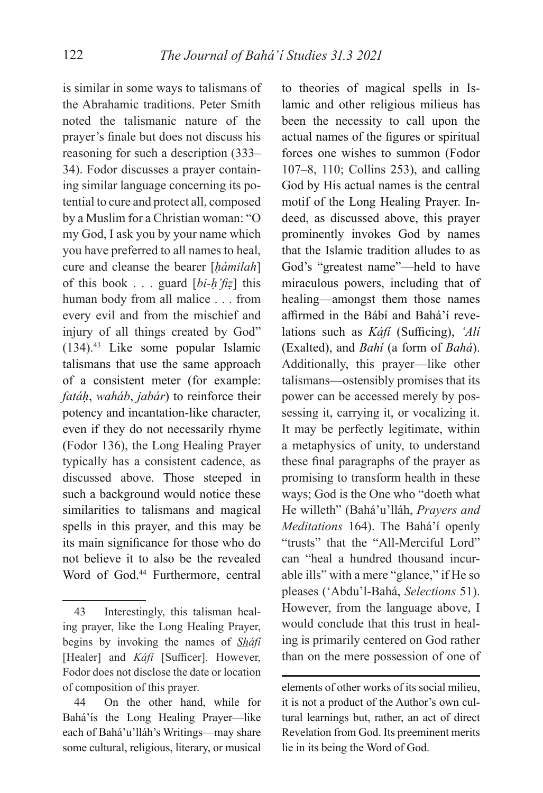is similar in some ways to talismans of the Abrahamic traditions. Peter Smith noted the talismanic nature of the prayer's finale but does not discuss his reasoning for such a description (333– 34). Fodor discusses a prayer containing similar language concerning its potential to cure and protect all, composed by a Muslim for a Christian woman: "O my God, I ask you by your name which you have preferred to all names to heal, cure and cleanse the bearer [*ḥámilah*] of this book . . . guard [*bi-ḥ'fiẓ*] this human body from all malice . . . from every evil and from the mischief and injury of all things created by God" (134).43 Like some popular Islamic talismans that use the same approach of a consistent meter (for example: *fatáḥ*, *waháb*, *jabár*) to reinforce their potency and incantation-like character, even if they do not necessarily rhyme (Fodor 136), the Long Healing Prayer typically has a consistent cadence, as discussed above. Those steeped in such a background would notice these similarities to talismans and magical spells in this prayer, and this may be its main significance for those who do not believe it to also be the revealed Word of God.<sup>44</sup> Furthermore, central

to theories of magical spells in Islamic and other religious milieus has been the necessity to call upon the actual names of the figures or spiritual forces one wishes to summon (Fodor 107–8, 110; Collins 253), and calling God by His actual names is the central motif of the Long Healing Prayer. Indeed, as discussed above, this prayer prominently invokes God by names that the Islamic tradition alludes to as God's "greatest name"—held to have miraculous powers, including that of healing—amongst them those names affirmed in the Bábí and Bahá'í revelations such as *Káfi* (Sufficing), *'Ali* (Exalted), and *Bahí* (a form of *Bahá*). Additionally, this prayer—like other talismans—ostensibly promises that its power can be accessed merely by possessing it, carrying it, or vocalizing it. It may be perfectly legitimate, within a metaphysics of unity, to understand these final paragraphs of the prayer as promising to transform health in these ways; God is the One who "doeth what He willeth" (Bahá'u'lláh, *Prayers and Meditations* 164). The Bahá'í openly "trusts" that the "All-Merciful Lord" can "heal a hundred thousand incurable ills" with a mere "glance," if He so pleases ('Abdu'l-Bahá, *Selections* 51). However, from the language above, I would conclude that this trust in healing is primarily centered on God rather than on the mere possession of one of

<sup>43</sup> Interestingly, this talisman healing prayer, like the Long Healing Prayer, begins by invoking the names of *Sháfí*  [Healer] and *Káfi* [Sufficer]. However, Fodor does not disclose the date or location of composition of this prayer.

<sup>44</sup> On the other hand, while for Bahá'ís the Long Healing Prayer—like each of Bahá'u'lláh's Writings—may share some cultural, religious, literary, or musical

elements of other works of its social milieu, it is not a product of the Author's own cultural learnings but, rather, an act of direct Revelation from God. Its preeminent merits lie in its being the Word of God.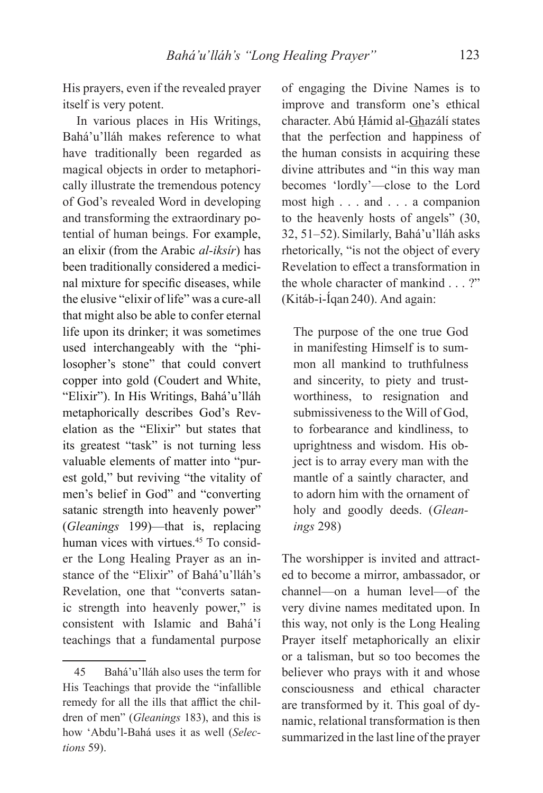His prayers, even if the revealed prayer itself is very potent.

In various places in His Writings, Bahá'u'lláh makes reference to what have traditionally been regarded as magical objects in order to metaphorically illustrate the tremendous potency of God's revealed Word in developing and transforming the extraordinary potential of human beings. For example, an elixir (from the Arabic *al-iksír*) has been traditionally considered a medicinal mixture for specific diseases, while the elusive "elixir of life" was a cure-all that might also be able to confer eternal life upon its drinker; it was sometimes used interchangeably with the "philosopher's stone" that could convert copper into gold (Coudert and White, "Elixir"). In His Writings, Bahá'u'lláh metaphorically describes God's Revelation as the "Elixir" but states that its greatest "task" is not turning less valuable elements of matter into "purest gold," but reviving "the vitality of men's belief in God" and "converting satanic strength into heavenly power" (*Gleanings* 199)—that is, replacing human vices with virtues.<sup>45</sup> To consider the Long Healing Prayer as an instance of the "Elixir" of Bahá'u'lláh's Revelation, one that "converts satanic strength into heavenly power," is consistent with Islamic and Bahá'í teachings that a fundamental purpose

of engaging the Divine Names is to improve and transform one's ethical character. Abú Ḥámid al-Ghazálí states that the perfection and happiness of the human consists in acquiring these divine attributes and "in this way man becomes 'lordly'—close to the Lord most high . . . and . . . a companion to the heavenly hosts of angels" (30, 32, 51–52). Similarly, Bahá'u'lláh asks rhetorically, "is not the object of every Revelation to effect a transformation in the whole character of mankind . . . ?" (Kitáb-i-Íqan 240). And again:

The purpose of the one true God in manifesting Himself is to summon all mankind to truthfulness and sincerity, to piety and trustworthiness, to resignation and submissiveness to the Will of God, to forbearance and kindliness, to uprightness and wisdom. His object is to array every man with the mantle of a saintly character, and to adorn him with the ornament of holy and goodly deeds. (*Gleanings* 298)

The worshipper is invited and attracted to become a mirror, ambassador, or channel—on a human level—of the very divine names meditated upon. In this way, not only is the Long Healing Prayer itself metaphorically an elixir or a talisman, but so too becomes the believer who prays with it and whose consciousness and ethical character are transformed by it. This goal of dynamic, relational transformation is then summarized in the last line of the prayer

<sup>45</sup> Bahá'u'lláh also uses the term for His Teachings that provide the "infallible remedy for all the ills that afflict the children of men" (*Gleanings* 183), and this is how 'Abdu'l-Bahá uses it as well (*Selections* 59).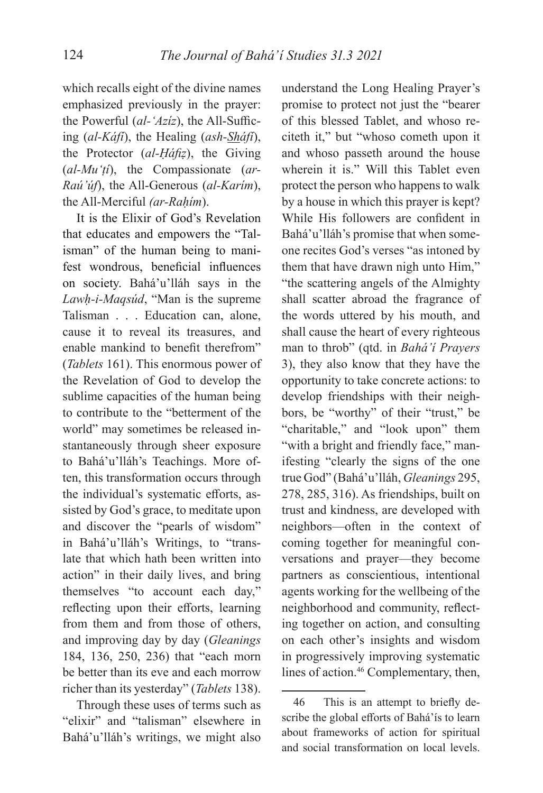which recalls eight of the divine names emphasized previously in the prayer: the Powerful (*al-'Aziz*), the All-Sufficing (*al-Káfí*), the Healing (*ash-Sháfí*), the Protector (*al-Ḥáfiẓ*), the Giving (*al-Mu'ṭí*), the Compassionate (*ar-Raú'úf*), the All-Generous (*al-Karím*), the All-Merciful *(ar-Raḥím*).

It is the Elixir of God's Revelation that educates and empowers the "Talisman" of the human being to manifest wondrous, beneficial influences on society. Bahá'u'lláh says in the *Lawḥ-i-Maqsúd*, "Man is the supreme Talisman . . . Education can, alone, cause it to reveal its treasures, and enable mankind to benefit therefrom" (*Tablets* 161). This enormous power of the Revelation of God to develop the sublime capacities of the human being to contribute to the "betterment of the world" may sometimes be released instantaneously through sheer exposure to Bahá'u'lláh's Teachings. More often, this transformation occurs through the individual's systematic efforts, assisted by God's grace, to meditate upon and discover the "pearls of wisdom" in Bahá'u'lláh's Writings, to "translate that which hath been written into action" in their daily lives, and bring themselves "to account each day," reflecting upon their efforts, learning from them and from those of others, and improving day by day (*Gleanings* 184, 136, 250, 236) that "each morn be better than its eve and each morrow richer than its yesterday" (*Tablets* 138).

Through these uses of terms such as "elixir" and "talisman" elsewhere in Bahá'u'lláh's writings, we might also

understand the Long Healing Prayer's promise to protect not just the "bearer of this blessed Tablet, and whoso reciteth it," but "whoso cometh upon it and whoso passeth around the house wherein it is." Will this Tablet even protect the person who happens to walk by a house in which this prayer is kept? While His followers are confident in Bahá'u'lláh's promise that when someone recites God's verses "as intoned by them that have drawn nigh unto Him," "the scattering angels of the Almighty shall scatter abroad the fragrance of the words uttered by his mouth, and shall cause the heart of every righteous man to throb" (qtd. in *Bahá'í Prayers* 3), they also know that they have the opportunity to take concrete actions: to develop friendships with their neighbors, be "worthy" of their "trust," be "charitable," and "look upon" them "with a bright and friendly face," manifesting "clearly the signs of the one true God" (Bahá'u'lláh, *Gleanings* 295, 278, 285, 316). As friendships, built on trust and kindness, are developed with neighbors—often in the context of coming together for meaningful conversations and prayer—they become partners as conscientious, intentional agents working for the wellbeing of the neighborhood and community, reflecting together on action, and consulting on each other's insights and wisdom in progressively improving systematic lines of action.<sup>46</sup> Complementary, then,

<sup>46</sup> This is an attempt to briefly describe the global efforts of Bahá'ís to learn about frameworks of action for spiritual and social transformation on local levels.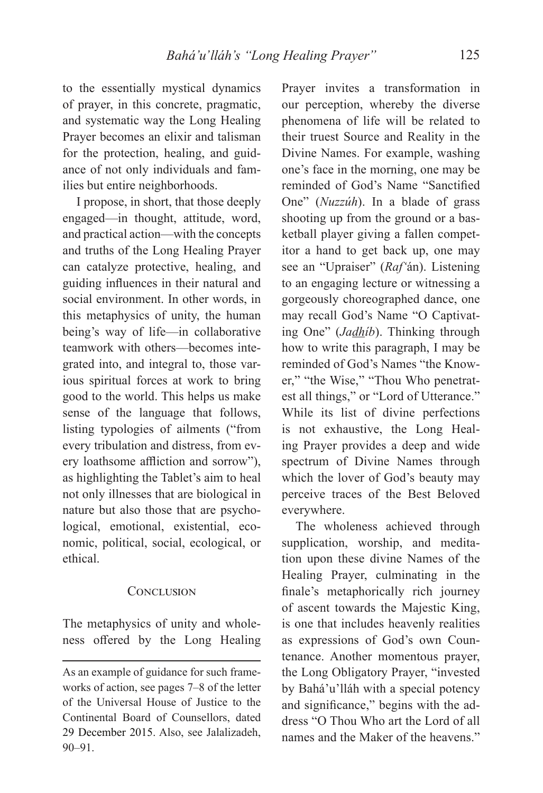to the essentially mystical dynamics of prayer, in this concrete, pragmatic, and systematic way the Long Healing Prayer becomes an elixir and talisman for the protection, healing, and guidance of not only individuals and families but entire neighborhoods.

I propose, in short, that those deeply engaged—in thought, attitude, word, and practical action—with the concepts and truths of the Long Healing Prayer can catalyze protective, healing, and guiding influences in their natural and social environment. In other words, in this metaphysics of unity, the human being's way of life—in collaborative teamwork with others—becomes integrated into, and integral to, those various spiritual forces at work to bring good to the world. This helps us make sense of the language that follows, listing typologies of ailments ("from every tribulation and distress, from every loathsome affliction and sorrow"), as highlighting the Tablet's aim to heal not only illnesses that are biological in nature but also those that are psychological, emotional, existential, economic, political, social, ecological, or ethical.

### CONCLUSION

The metaphysics of unity and wholeness offered by the Long Healing

Prayer invites a transformation in our perception, whereby the diverse phenomena of life will be related to their truest Source and Reality in the Divine Names. For example, washing one's face in the morning, one may be reminded of God's Name "Sanctified One" (*Nuzzúh*). In a blade of grass shooting up from the ground or a basketball player giving a fallen competitor a hand to get back up, one may see an "Upraiser" (*Raf'*án). Listening to an engaging lecture or witnessing a gorgeously choreographed dance, one may recall God's Name "O Captivating One" (*Jadhíb*). Thinking through how to write this paragraph, I may be reminded of God's Names "the Knower," "the Wise," "Thou Who penetratest all things," or "Lord of Utterance." While its list of divine perfections is not exhaustive, the Long Healing Prayer provides a deep and wide spectrum of Divine Names through which the lover of God's beauty may perceive traces of the Best Beloved everywhere.

The wholeness achieved through supplication, worship, and meditation upon these divine Names of the Healing Prayer, culminating in the finale's metaphorically rich journey of ascent towards the Majestic King, is one that includes heavenly realities as expressions of God's own Countenance. Another momentous prayer, the Long Obligatory Prayer, "invested by Bahá'u'lláh with a special potency and significance," begins with the address "O Thou Who art the Lord of all names and the Maker of the heavens."

As an example of guidance for such frameworks of action, see pages 7–8 of the letter of the Universal House of Justice to the Continental Board of Counsellors, dated 29 December 2015. Also, see Jalalizadeh, 90–91.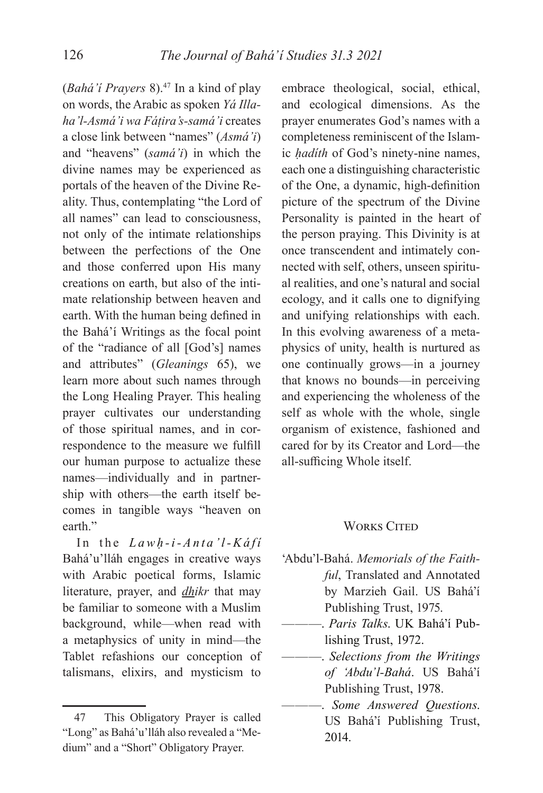(*Bahá'í Prayers* 8).47 In a kind of play on words, the Arabic as spoken *Yá Illaha'l-Asmá'i wa Fáṭira's-samá'i* creates a close link between "names" (*Asmá'i*) and "heavens" (*samá'i*) in which the divine names may be experienced as portals of the heaven of the Divine Reality. Thus, contemplating "the Lord of all names" can lead to consciousness, not only of the intimate relationships between the perfections of the One and those conferred upon His many creations on earth, but also of the intimate relationship between heaven and earth. With the human being defined in the Bahá'í Writings as the focal point of the "radiance of all [God's] names and attributes" (*Gleanings* 65), we learn more about such names through the Long Healing Prayer. This healing prayer cultivates our understanding of those spiritual names, and in correspondence to the measure we fulfill our human purpose to actualize these names—individually and in partnership with others—the earth itself becomes in tangible ways "heaven on earth."

In the *Lawḥ -i-Anta'l-Káfí* Bahá'u'lláh engages in creative ways with Arabic poetical forms, Islamic literature, prayer, and *dhikr* that may be familiar to someone with a Muslim background, while—when read with a metaphysics of unity in mind—the Tablet refashions our conception of talismans, elixirs, and mysticism to

embrace theological, social, ethical, and ecological dimensions. As the prayer enumerates God's names with a completeness reminiscent of the Islamic *ḥadíth* of God's ninety-nine names, each one a distinguishing characteristic of the One, a dynamic, high-definition picture of the spectrum of the Divine Personality is painted in the heart of the person praying. This Divinity is at once transcendent and intimately connected with self, others, unseen spiritual realities, and one's natural and social ecology, and it calls one to dignifying and unifying relationships with each. In this evolving awareness of a metaphysics of unity, health is nurtured as one continually grows—in a journey that knows no bounds—in perceiving and experiencing the wholeness of the self as whole with the whole, single organism of existence, fashioned and cared for by its Creator and Lord—the all-sufficing Whole itself.

### **WORKS CITED**

- 'Abdu'l-Bahá. *Memorials of the Faithful*, Translated and Annotated by Marzieh Gail. US Bahá'í Publishing Trust, 1975.
- ———. *Paris Talks*. UK Bahá'í Publishing Trust, 1972.
- ———. *Selections from the Writings of 'Abdu'l-Bahá*. US Bahá'í Publishing Trust, 1978.
- ———. *Some Answered Questions*. US Bahá'í Publishing Trust, 2014.

<sup>47</sup> This Obligatory Prayer is called "Long" as Bahá'u'lláh also revealed a "Medium" and a "Short" Obligatory Prayer.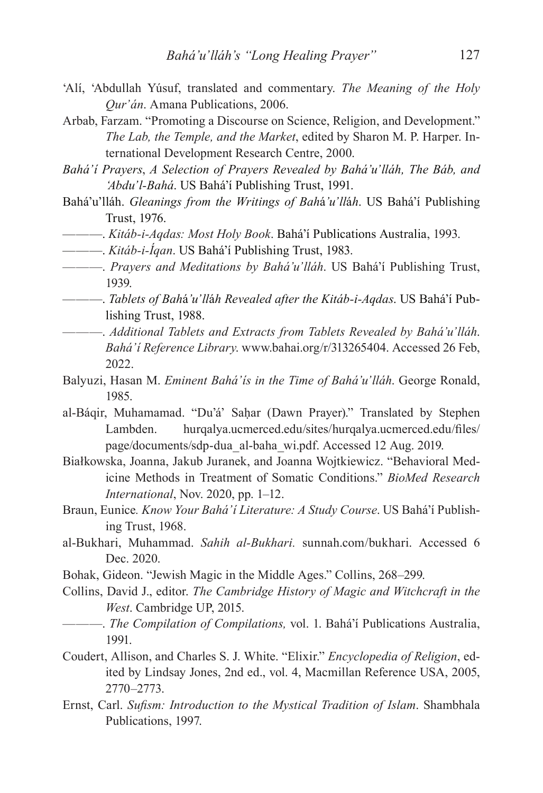- 'Alí, 'Abdullah Yúsuf, translated and commentary. *The Meaning of the Holy Qur'án*. Amana Publications, 2006.
- Arbab, Farzam. "Promoting a Discourse on Science, Religion, and Development." *The Lab, the Temple, and the Market*, edited by Sharon M. P. Harper. International Development Research Centre, 2000.
- *Bahá'í Prayers*, *A Selection of Prayers Revealed by Bahá'u'lláh, The Báb, and 'Abdu'l-Bahá*. US Bahá'í Publishing Trust, 1991.
- Bahá'u'lláh. *Gleanings from the Writings of Bah*á*'u'll*á*h*. US Bahá'í Publishing Trust, 1976.
- ———. *Kitáb-i-Aqdas: Most Holy Book*. Bahá'í Publications Australia, 1993.
- ———. *Kitáb-i-Íqan*. US Bahá'í Publishing Trust, 1983.
- ———. *Prayers and Meditations by Bahá'u'lláh*. US Bahá'í Publishing Trust, 1939.
- ———. *Tablets of Bah*á*'u'll*á*h Revealed after the Kitáb-i-Aqdas*. US Bahá'í Publishing Trust, 1988.
- ———. *Additional Tablets and Extracts from Tablets Revealed by Bahá'u'lláh*. *Bahá'í Reference Library*. www.bahai.org/r/313265404. Accessed 26 Feb, 2022.
- Balyuzi, Hasan M. *Eminent Bahá'ís in the Time of Bahá'u'lláh*. George Ronald, 1985.
- al-Báqir, Muhamamad. "Du'á' Saḥar (Dawn Prayer)." Translated by Stephen Lambden. hurqalya.ucmerced.edu/sites/hurqalya.ucmerced.edu/files/ page/documents/sdp-dua\_al-baha\_wi.pdf. Accessed 12 Aug. 2019.
- Białkowska, Joanna, Jakub Juranek, and Joanna Wojtkiewicz. "Behavioral Medicine Methods in Treatment of Somatic Conditions." *BioMed Research International*, Nov. 2020, pp. 1–12.
- Braun, Eunice*. Know Your Bahá'í Literature: A Study Course*. US Bahá'í Publishing Trust, 1968.
- al-Bukhari, Muhammad. *Sahih al-Bukhari.* sunnah.com/bukhari. Accessed 6 Dec. 2020.
- Bohak, Gideon. "Jewish Magic in the Middle Ages." Collins, 268–299.
- Collins, David J., editor. *The Cambridge History of Magic and Witchcraft in the West*. Cambridge UP, 2015.
	- ———. *The Compilation of Compilations,* vol. 1. Bahá'í Publications Australia, 1991.
- Coudert, Allison, and Charles S. J. White. "Elixir." *Encyclopedia of Religion*, edited by Lindsay Jones, 2nd ed., vol. 4, Macmillan Reference USA, 2005, 2770–2773.
- Ernst, Carl. *Sufism: Introduction to the Mystical Tradition of Islam*. Shambhala Publications, 1997.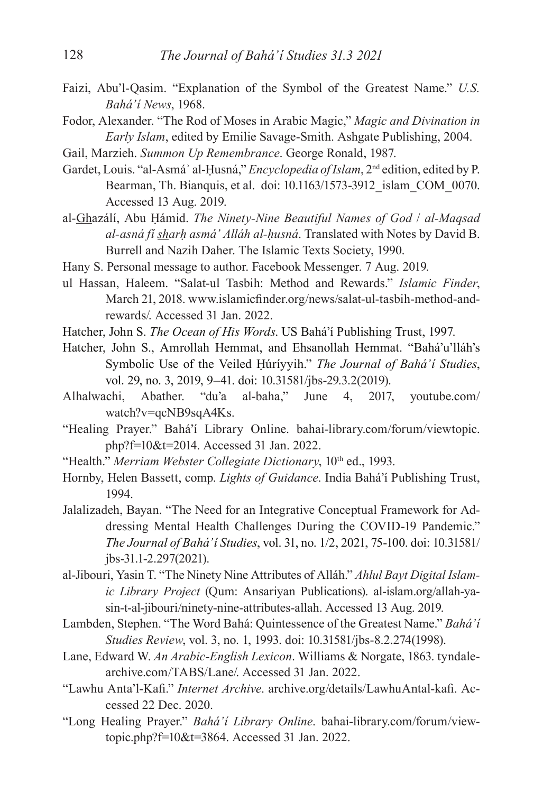- Faizi, Abu'l-Qasim. "Explanation of the Symbol of the Greatest Name." *U.S. Bahá'í News*, 1968.
- Fodor, Alexander. "The Rod of Moses in Arabic Magic," *Magic and Divination in Early Islam*, edited by Emilie Savage-Smith. Ashgate Publishing, 2004.
- Gail, Marzieh. *Summon Up Remembrance*. George Ronald, 1987.
- Gardet, Louis. "al-Asmáʾ al-Ḥusná," *Encyclopedia of Islam*, 2nd edition, edited by P. Bearman, Th. Bianquis, et al. doi: 10.1163/1573-3912\_islam\_COM\_0070. Accessed 13 Aug. 2019.
- al-Ghazálí, Abu Ḥámid. *The Ninety-Nine Beautiful Names of God* / *al-Maqsad al-asná fí sharḥ asmá' Alláh al-ḥusná*. Translated with Notes by David B. Burrell and Nazih Daher. The Islamic Texts Society, 1990.
- Hany S. Personal message to author. Facebook Messenger. 7 Aug. 2019.
- ul Hassan, Haleem. "Salat-ul Tasbih: Method and Rewards." *Islamic Finder*, March 21, 2018. www.islamicfinder.org/news/salat-ul-tasbih-method-andrewards/. Accessed 31 Jan. 2022.
- Hatcher, John S. *The Ocean of His Words*. US Bahá'í Publishing Trust, 1997.
- Hatcher, John S., Amrollah Hemmat, and Ehsanollah Hemmat. "Bahá'u'lláh's Symbolic Use of the Veiled Ḥúríyyih." *The Journal of Bahá'í Studies*, vol. 29, no. 3, 2019, 9–41. doi: 10.31581/jbs-29.3.2(2019).
- Alhalwachi, Abather. "du'a al-baha," June 4, 2017, youtube.com/ watch?v=qcNB9sqA4Ks.
- "Healing Prayer." Bahá'í Library Online. bahai-library.com/forum/viewtopic. php?f=10&t=2014. Accessed 31 Jan. 2022.
- "Health." *Merriam Webster Collegiate Dictionary*, 10<sup>th</sup> ed., 1993.
- Hornby, Helen Bassett, comp. *Lights of Guidance*. India Bahá'í Publishing Trust, 1994.
- Jalalizadeh, Bayan. "The Need for an Integrative Conceptual Framework for Addressing Mental Health Challenges During the COVID-19 Pandemic." *The Journal of Bahá'í Studies*, vol. 31, no. 1/2, 2021, 75-100. doi: 10.31581/ jbs-31.1-2.297(2021).
- al-Jibouri, Yasin T. "The Ninety Nine Attributes of Alláh." *Ahlul Bayt Digital Islamic Library Project* (Qum: Ansariyan Publications). al-islam.org/allah-yasin-t-al-jibouri/ninety-nine-attributes-allah. Accessed 13 Aug. 2019.
- Lambden, Stephen. "The Word Bahá: Quintessence of the Greatest Name." *Bahá'í Studies Review*, vol. 3, no. 1, 1993. doi: 10.31581/jbs-8.2.274(1998).
- Lane, Edward W. *An Arabic-English Lexicon*. Williams & Norgate, 1863. tyndalearchive.com/TABS/Lane/. Accessed 31 Jan. 2022.
- "Lawhu Anta'l-Kafi." *Internet Archive*. archive.org/details/LawhuAntal-kafi. Accessed 22 Dec. 2020.
- "Long Healing Prayer." *Bahá'í Library Online*. bahai-library.com/forum/viewtopic.php?f=10&t=3864. Accessed 31 Jan. 2022.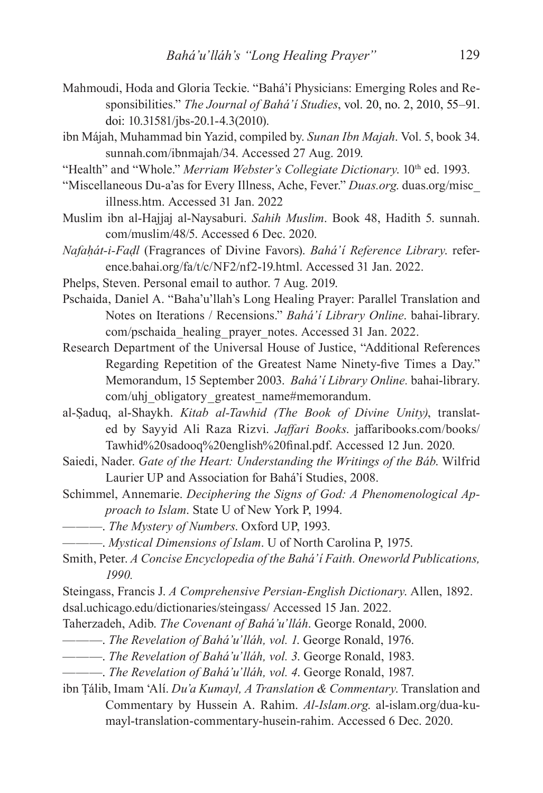- Mahmoudi, Hoda and Gloria Teckie. "Bahá'í Physicians: Emerging Roles and Responsibilities." *The Journal of Bahá'í Studies*, vol. 20, no. 2, 2010, 55–91. doi: 10.31581/jbs-20.1-4.3(2010).
- ibn Májah, Muhammad bin Yazid, compiled by. *Sunan Ibn Majah*. Vol. 5, book 34. sunnah.com/ibnmajah/34. Accessed 27 Aug. 2019.
- "Health" and "Whole." *Merriam Webster's Collegiate Dictionary*. 10<sup>th</sup> ed. 1993.
- "Miscellaneous Du-a'as for Every Illness, Ache, Fever." *Duas.org*. duas.org/misc\_ illness.htm. Accessed 31 Jan. 2022
- Muslim ibn al-Hajjaj al-Naysaburi. *Sahih Muslim*. Book 48, Hadith 5. sunnah. com/muslim/48/5. Accessed 6 Dec. 2020.
- *Nafaḥát-i-Faḍl* (Fragrances of Divine Favors). *Bahá'í Reference Library*. reference.bahai.org/fa/t/c/NF2/nf2-19.html. Accessed 31 Jan. 2022.
- Phelps, Steven. Personal email to author. 7 Aug. 2019.
- Pschaida, Daniel A. "Baha'u'llah's Long Healing Prayer: Parallel Translation and Notes on Iterations / Recensions." *Bahá'í Library Online*. bahai-library. com/pschaida\_healing\_prayer\_notes. Accessed 31 Jan. 2022.
- Research Department of the Universal House of Justice, "Additional References Regarding Repetition of the Greatest Name Ninety-five Times a Day." Memorandum, 15 September 2003. *Bahá'í Library Online.* bahai-library. com/uhj\_obligatory\_greatest\_name#memorandum.
- al-Ṣaduq, al-Shaykh. *Kitab al-Tawhid (The Book of Divine Unity)*, translated by Sayyid Ali Raza Rizvi. *Jaffari Books*. jaffaribooks.com/books/ Tawhid%20sadooq%20english%20final.pdf. Accessed 12 Jun. 2020.
- Saiedi, Nader. *Gate of the Heart: Understanding the Writings of the Báb*. Wilfrid Laurier UP and Association for Bahá'í Studies, 2008.
- Schimmel, Annemarie. *Deciphering the Signs of God: A Phenomenological Approach to Islam*. State U of New York P, 1994.
- ———. *The Mystery of Numbers*. Oxford UP, 1993.
- ———. *Mystical Dimensions of Islam*. U of North Carolina P, 1975.
- Smith, Peter. *A Concise Encyclopedia of the Bahá'í Faith. Oneworld Publications, 1990.*

Steingass, Francis J. *A Comprehensive Persian-English Dictionary*. Allen, 1892. dsal.uchicago.edu/dictionaries/steingass/ Accessed 15 Jan. 2022.

- Taherzadeh, Adib. *The Covenant of Bahá'u'lláh*. George Ronald, 2000.
- ———. *The Revelation of Bahá'u'lláh, vol. 1*. George Ronald, 1976.
- ———. *The Revelation of Bahá'u'lláh, vol. 3*. George Ronald, 1983.
- ———. *The Revelation of Bahá'u'lláh, vol. 4*. George Ronald, 1987.
- ibn Ṭálib, Imam 'Alí. *Du'a Kumayl, A Translation & Commentary*. Translation and Commentary by Hussein A. Rahim. *Al-Islam.org*. al-islam.org/dua-kumayl-translation-commentary-husein-rahim. Accessed 6 Dec. 2020.